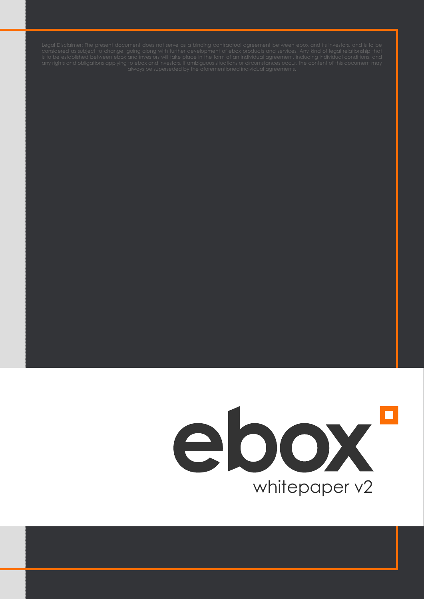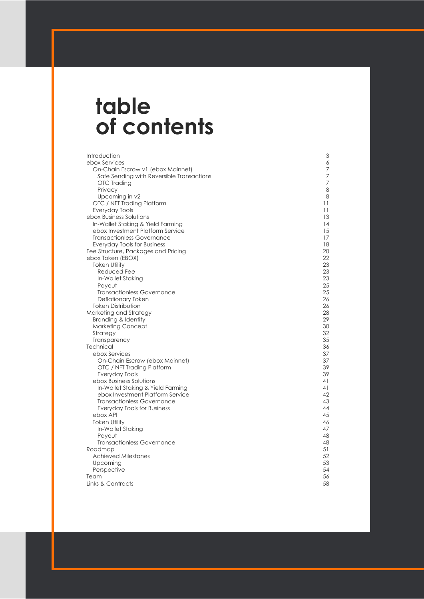# **table of contents**

Introduction ebox Services On-Chain Escrow v1 (ebox Mainnet) Safe Sending with Reversible Transactions OTC Trading Privacy Upcoming in v2 OTC / NFT Trading Platform Everyday Tools ebox Business Solutions In-Wallet Staking & Yield Farming ebox Investment Platform Service Transactionless Governance Everyday Tools for Business Fee Structure, Packages and Pricing ebox Token (EBOX) Token Utility Reduced Fee In-Wallet Staking Payout Transactionless Governance Deflationary Token Token Distribution Marketing and Strategy Branding & Identity Marketing Concept Strategy Transparency **Technical**  ebox Services On-Chain Escrow (ebox Mainnet) OTC / NFT Trading Platform Everyday Tools ebox Business Solutions In-Wallet Staking & Yield Farming ebox Investment Platform Service Transactionless Governance Everyday Tools for Business ebox API Token Utility In-Wallet Staking Payout Transactionless Governance Roadmap Achieved Milestones Upcoming **Perspective** Team Links & Contracts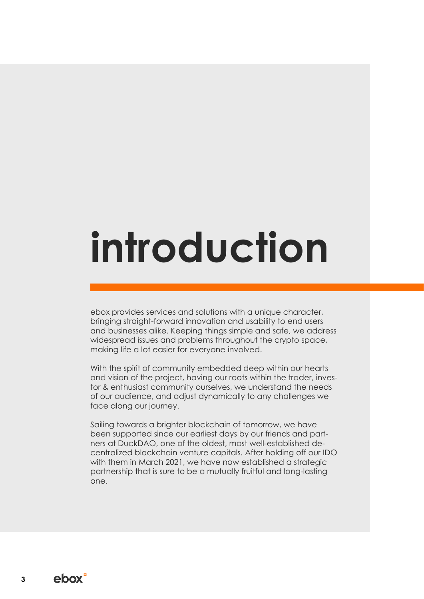# **introduction**

ebox provides services and solutions with a unique character, bringing straight-forward innovation and usability to end users and businesses alike. Keeping things simple and safe, we address widespread issues and problems throughout the crypto space, making life a lot easier for everyone involved.

With the spirit of community embedded deep within our hearts and vision of the project, having our roots within the trader, investor & enthusiast community ourselves, we understand the needs of our audience, and adjust dynamically to any challenges we face along our journey.

Sailing towards a brighter blockchain of tomorrow, we have been supported since our earliest days by our friends and partners at DuckDAO, one of the oldest, most well-established decentralized blockchain venture capitals. After holding off our IDO with them in March 2021, we have now established a strategic partnership that is sure to be a mutually fruitful and long-lasting one.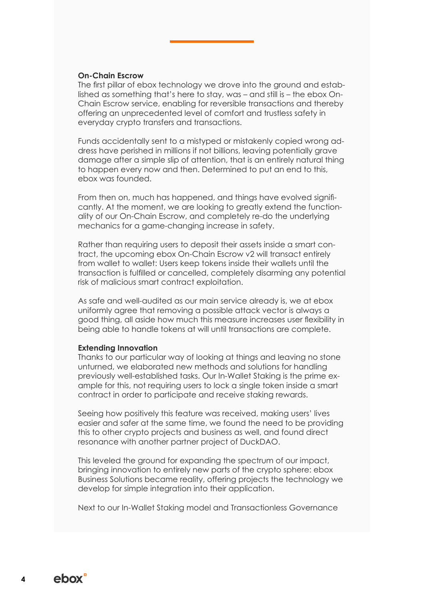#### **On-Chain Escrow**

The first pillar of ebox technology we drove into the ground and established as something that's here to stay, was – and still is – the ebox On-Chain Escrow service, enabling for reversible transactions and thereby offering an unprecedented level of comfort and trustless safety in everyday crypto transfers and transactions.

Funds accidentally sent to a mistyped or mistakenly copied wrong address have perished in millions if not billions, leaving potentially grave damage after a simple slip of attention, that is an entirely natural thing to happen every now and then. Determined to put an end to this, ebox was founded.

From then on, much has happened, and things have evolved significantly. At the moment, we are looking to greatly extend the functionality of our On-Chain Escrow, and completely re-do the underlying mechanics for a game-changing increase in safety.

Rather than requiring users to deposit their assets inside a smart contract, the upcoming ebox On-Chain Escrow v2 will transact entirely from wallet to wallet: Users keep tokens inside their wallets until the transaction is fulfilled or cancelled, completely disarming any potential risk of malicious smart contract exploitation.

As safe and well-audited as our main service already is, we at ebox uniformly agree that removing a possible attack vector is always a good thing, all aside how much this measure increases user flexibility in being able to handle tokens at will until transactions are complete.

#### **Extending Innovation**

Thanks to our particular way of looking at things and leaving no stone unturned, we elaborated new methods and solutions for handling previously well-established tasks. Our In-Wallet Staking is the prime example for this, not requiring users to lock a single token inside a smart contract in order to participate and receive staking rewards.

Seeing how positively this feature was received, making users' lives easier and safer at the same time, we found the need to be providing this to other crypto projects and business as well, and found direct resonance with another partner project of DuckDAO.

This leveled the ground for expanding the spectrum of our impact, bringing innovation to entirely new parts of the crypto sphere: ebox Business Solutions became reality, offering projects the technology we develop for simple integration into their application.

Next to our In-Wallet Staking model and Transactionless Governance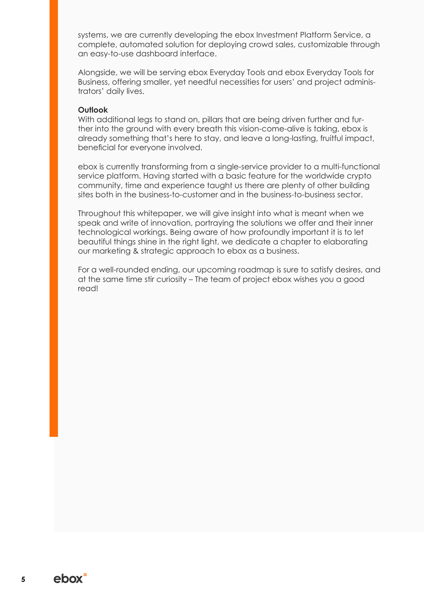systems, we are currently developing the ebox Investment Platform Service, a complete, automated solution for deploying crowd sales, customizable through an easy-to-use dashboard interface.

Alongside, we will be serving ebox Everyday Tools and ebox Everyday Tools for Business, offering smaller, yet needful necessities for users' and project administrators' daily lives.

#### **Outlook**

With additional legs to stand on, pillars that are being driven further and further into the ground with every breath this vision-come-alive is taking, ebox is already something that's here to stay, and leave a long-lasting, fruitful impact, beneficial for everyone involved.

ebox is currently transforming from a single-service provider to a multi-functional service platform. Having started with a basic feature for the worldwide crypto community, time and experience taught us there are plenty of other building sites both in the business-to-customer and in the business-to-business sector.

Throughout this whitepaper, we will give insight into what is meant when we speak and write of innovation, portraying the solutions we offer and their inner technological workings. Being aware of how profoundly important it is to let beautiful things shine in the right light, we dedicate a chapter to elaborating our marketing & strategic approach to ebox as a business.

For a well-rounded ending, our upcoming roadmap is sure to satisfy desires, and at the same time stir curiosity – The team of project ebox wishes you a good read!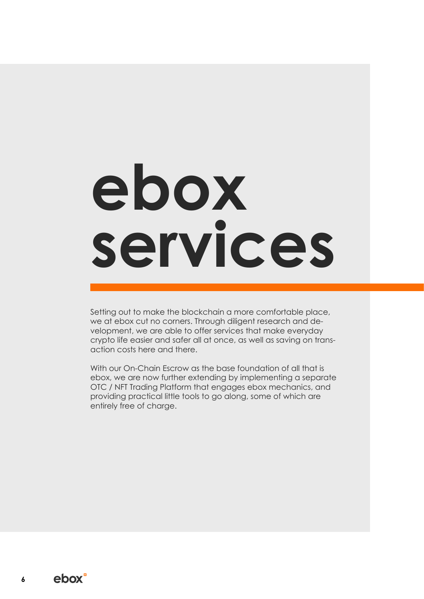# **ebox services**

Setting out to make the blockchain a more comfortable place, we at ebox cut no corners. Through diligent research and development, we are able to offer services that make everyday crypto life easier and safer all at once, as well as saving on transaction costs here and there.

With our On-Chain Escrow as the base foundation of all that is ebox, we are now further extending by implementing a separate OTC / NFT Trading Platform that engages ebox mechanics, and providing practical little tools to go along, some of which are entirely free of charge.

ebox<sup>-</sup> **6**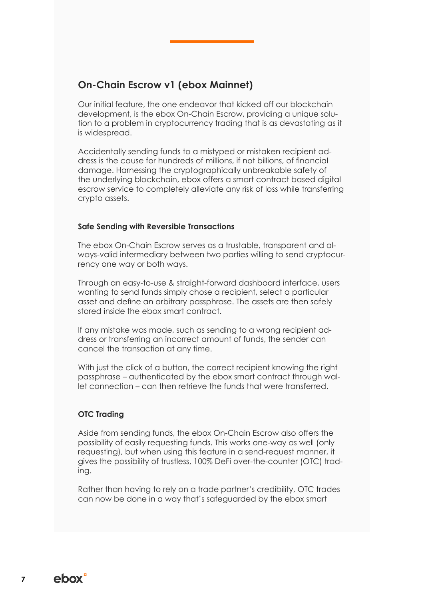# **On-Chain Escrow v1 (ebox Mainnet)**

Our initial feature, the one endeavor that kicked off our blockchain development, is the ebox On-Chain Escrow, providing a unique solution to a problem in cryptocurrency trading that is as devastating as it is widespread.

Accidentally sending funds to a mistyped or mistaken recipient address is the cause for hundreds of millions, if not billions, of financial damage. Harnessing the cryptographically unbreakable safety of the underlying blockchain, ebox offers a smart contract based digital escrow service to completely alleviate any risk of loss while transferring crypto assets.

#### **Safe Sending with Reversible Transactions**

The ebox On-Chain Escrow serves as a trustable, transparent and always-valid intermediary between two parties willing to send cryptocurrency one way or both ways.

Through an easy-to-use & straight-forward dashboard interface, users wanting to send funds simply chose a recipient, select a particular asset and define an arbitrary passphrase. The assets are then safely stored inside the ebox smart contract.

If any mistake was made, such as sending to a wrong recipient address or transferring an incorrect amount of funds, the sender can cancel the transaction at any time.

With just the click of a button, the correct recipient knowing the right passphrase – authenticated by the ebox smart contract through wallet connection – can then retrieve the funds that were transferred.

#### **OTC Trading**

Aside from sending funds, the ebox On-Chain Escrow also offers the possibility of easily requesting funds. This works one-way as well (only requesting), but when using this feature in a send-request manner, it gives the possibility of trustless, 100% DeFi over-the-counter (OTC) trading.

Rather than having to rely on a trade partner's credibility, OTC trades can now be done in a way that's safeguarded by the ebox smart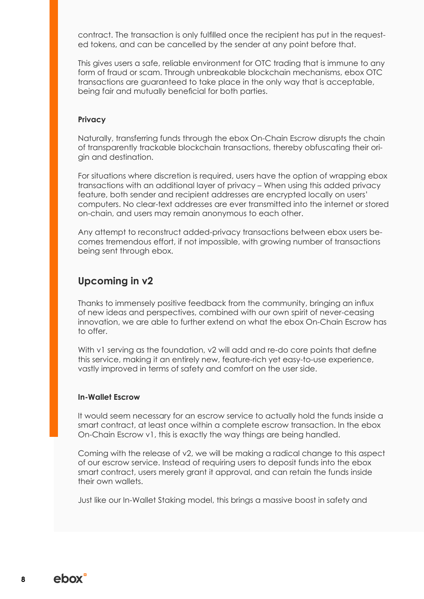contract. The transaction is only fulfilled once the recipient has put in the requested tokens, and can be cancelled by the sender at any point before that.

This gives users a safe, reliable environment for OTC trading that is immune to any form of fraud or scam. Through unbreakable blockchain mechanisms, ebox OTC transactions are guaranteed to take place in the only way that is acceptable, being fair and mutually beneficial for both parties.

#### **Privacy**

Naturally, transferring funds through the ebox On-Chain Escrow disrupts the chain of transparently trackable blockchain transactions, thereby obfuscating their origin and destination.

For situations where discretion is required, users have the option of wrapping ebox transactions with an additional layer of privacy – When using this added privacy feature, both sender and recipient addresses are encrypted locally on users' computers. No clear-text addresses are ever transmitted into the internet or stored on-chain, and users may remain anonymous to each other.

Any attempt to reconstruct added-privacy transactions between ebox users becomes tremendous effort, if not impossible, with growing number of transactions being sent through ebox.

### **Upcoming in v2**

Thanks to immensely positive feedback from the community, bringing an influx of new ideas and perspectives, combined with our own spirit of never-ceasing innovation, we are able to further extend on what the ebox On-Chain Escrow has to offer.

With v1 serving as the foundation, v2 will add and re-do core points that define this service, making it an entirely new, feature-rich yet easy-to-use experience, vastly improved in terms of safety and comfort on the user side.

#### **In-Wallet Escrow**

It would seem necessary for an escrow service to actually hold the funds inside a smart contract, at least once within a complete escrow transaction. In the ebox On-Chain Escrow v1, this is exactly the way things are being handled.

Coming with the release of v2, we will be making a radical change to this aspect of our escrow service. Instead of requiring users to deposit funds into the ebox smart contract, users merely grant it approval, and can retain the funds inside their own wallets.

Just like our In-Wallet Staking model, this brings a massive boost in safety and

**8**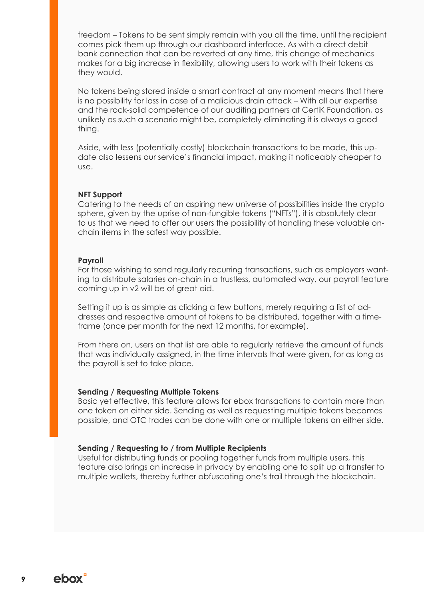freedom – Tokens to be sent simply remain with you all the time, until the recipient comes pick them up through our dashboard interface. As with a direct debit bank connection that can be reverted at any time, this change of mechanics makes for a big increase in flexibility, allowing users to work with their tokens as they would.

No tokens being stored inside a smart contract at any moment means that there is no possibility for loss in case of a malicious drain attack – With all our expertise and the rock-solid competence of our auditing partners at CertiK Foundation, as unlikely as such a scenario might be, completely eliminating it is always a good thing.

Aside, with less (potentially costly) blockchain transactions to be made, this update also lessens our service's financial impact, making it noticeably cheaper to use.

#### **NFT Support**

Catering to the needs of an aspiring new universe of possibilities inside the crypto sphere, given by the uprise of non-fungible tokens ("NFTs"), it is absolutely clear to us that we need to offer our users the possibility of handling these valuable onchain items in the safest way possible.

#### **Payroll**

For those wishing to send regularly recurring transactions, such as employers wanting to distribute salaries on-chain in a trustless, automated way, our payroll feature coming up in v2 will be of great aid.

Setting it up is as simple as clicking a few buttons, merely requiring a list of addresses and respective amount of tokens to be distributed, together with a timeframe (once per month for the next 12 months, for example).

From there on, users on that list are able to regularly retrieve the amount of funds that was individually assigned, in the time intervals that were given, for as long as the payroll is set to take place.

#### **Sending / Requesting Multiple Tokens**

Basic yet effective, this feature allows for ebox transactions to contain more than one token on either side. Sending as well as requesting multiple tokens becomes possible, and OTC trades can be done with one or multiple tokens on either side.

#### **Sending / Requesting to / from Multiple Recipients**

Useful for distributing funds or pooling together funds from multiple users, this feature also brings an increase in privacy by enabling one to split up a transfer to multiple wallets, thereby further obfuscating one's trail through the blockchain.

**9**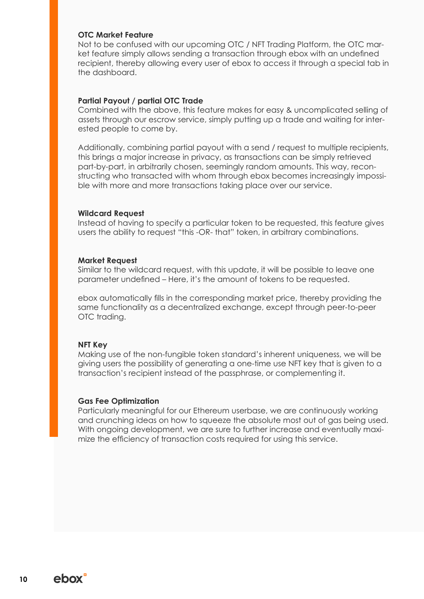#### **OTC Market Feature**

Not to be confused with our upcoming OTC / NFT Trading Platform, the OTC market feature simply allows sending a transaction through ebox with an undefined recipient, thereby allowing every user of ebox to access it through a special tab in the dashboard.

#### **Partial Payout / partial OTC Trade**

Combined with the above, this feature makes for easy & uncomplicated selling of assets through our escrow service, simply putting up a trade and waiting for interested people to come by.

Additionally, combining partial payout with a send / request to multiple recipients, this brings a major increase in privacy, as transactions can be simply retrieved part-by-part, in arbitrarily chosen, seemingly random amounts. This way, reconstructing who transacted with whom through ebox becomes increasingly impossible with more and more transactions taking place over our service.

#### **Wildcard Request**

Instead of having to specify a particular token to be requested, this feature gives users the ability to request "this -OR- that" token, in arbitrary combinations.

#### **Market Request**

Similar to the wildcard request, with this update, it will be possible to leave one parameter undefined – Here, it's the amount of tokens to be requested.

ebox automatically fills in the corresponding market price, thereby providing the same functionality as a decentralized exchange, except through peer-to-peer OTC trading.

#### **NFT Key**

Making use of the non-fungible token standard's inherent uniqueness, we will be giving users the possibility of generating a one-time use NFT key that is given to a transaction's recipient instead of the passphrase, or complementing it.

#### **Gas Fee Optimization**

Particularly meaningful for our Ethereum userbase, we are continuously working and crunching ideas on how to squeeze the absolute most out of gas being used. With ongoing development, we are sure to further increase and eventually maximize the efficiency of transaction costs required for using this service.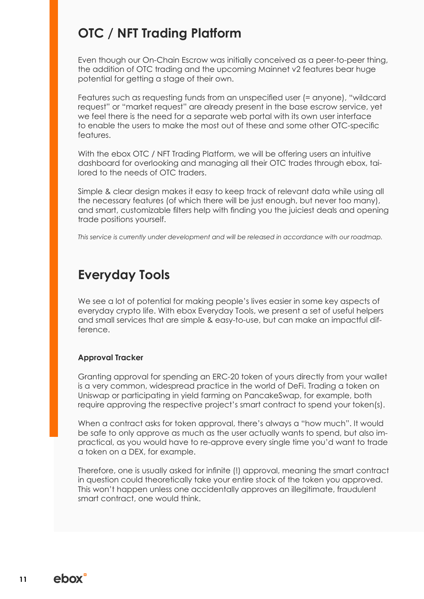# **OTC / NFT Trading Platform**

Even though our On-Chain Escrow was initially conceived as a peer-to-peer thing, the addition of OTC trading and the upcoming Mainnet v2 features bear huge potential for getting a stage of their own.

Features such as requesting funds from an unspecified user (= anyone), "wildcard request" or "market request" are already present in the base escrow service, yet we feel there is the need for a separate web portal with its own user interface to enable the users to make the most out of these and some other OTC-specific features.

With the ebox OTC / NFT Trading Platform, we will be offering users an intuitive dashboard for overlooking and managing all their OTC trades through ebox, tailored to the needs of OTC traders.

Simple & clear design makes it easy to keep track of relevant data while using all the necessary features (of which there will be just enough, but never too many), and smart, customizable filters help with finding you the juiciest deals and opening trade positions yourself.

*This service is currently under development and will be released in accordance with our roadmap.*

# **Everyday Tools**

We see a lot of potential for making people's lives easier in some key aspects of everyday crypto life. With ebox Everyday Tools, we present a set of useful helpers and small services that are simple & easy-to-use, but can make an impactful difference.

#### **Approval Tracker**

Granting approval for spending an ERC-20 token of yours directly from your wallet is a very common, widespread practice in the world of DeFi. Trading a token on Uniswap or participating in yield farming on PancakeSwap, for example, both require approving the respective project's smart contract to spend your token(s).

When a contract asks for token approval, there's always a "how much". It would be safe to only approve as much as the user actually wants to spend, but also impractical, as you would have to re-approve every single time you'd want to trade a token on a DEX, for example.

Therefore, one is usually asked for infinite (!) approval, meaning the smart contract in question could theoretically take your entire stock of the token you approved. This won't happen unless one accidentally approves an illegitimate, fraudulent smart contract, one would think.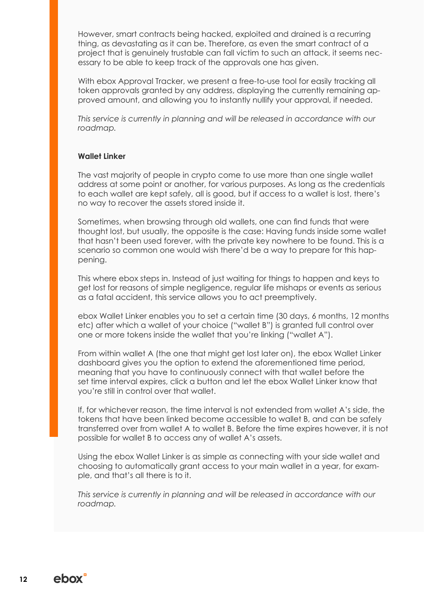However, smart contracts being hacked, exploited and drained is a recurring thing, as devastating as it can be. Therefore, as even the smart contract of a project that is genuinely trustable can fall victim to such an attack, it seems necessary to be able to keep track of the approvals one has given.

With ebox Approval Tracker, we present a free-to-use tool for easily tracking all token approvals granted by any address, displaying the currently remaining approved amount, and allowing you to instantly nullify your approval, if needed.

*This service is currently in planning and will be released in accordance with our roadmap.*

#### **Wallet Linker**

The vast majority of people in crypto come to use more than one single wallet address at some point or another, for various purposes. As long as the credentials to each wallet are kept safely, all is good, but if access to a wallet is lost, there's no way to recover the assets stored inside it.

Sometimes, when browsing through old wallets, one can find funds that were thought lost, but usually, the opposite is the case: Having funds inside some wallet that hasn't been used forever, with the private key nowhere to be found. This is a scenario so common one would wish there'd be a way to prepare for this happening.

This where ebox steps in. Instead of just waiting for things to happen and keys to get lost for reasons of simple negligence, regular life mishaps or events as serious as a fatal accident, this service allows you to act preemptively.

ebox Wallet Linker enables you to set a certain time (30 days, 6 months, 12 months etc) after which a wallet of your choice ("wallet B") is granted full control over one or more tokens inside the wallet that you're linking ("wallet A").

From within wallet A (the one that might get lost later on), the ebox Wallet Linker dashboard gives you the option to extend the aforementioned time period, meaning that you have to continuously connect with that wallet before the set time interval expires, click a button and let the ebox Wallet Linker know that you're still in control over that wallet.

If, for whichever reason, the time interval is not extended from wallet A's side, the tokens that have been linked become accessible to wallet B, and can be safely transferred over from wallet A to wallet B. Before the time expires however, it is not possible for wallet B to access any of wallet A's assets.

Using the ebox Wallet Linker is as simple as connecting with your side wallet and choosing to automatically grant access to your main wallet in a year, for example, and that's all there is to it.

This service is currently in planning and will be released in accordance with our *roadmap.*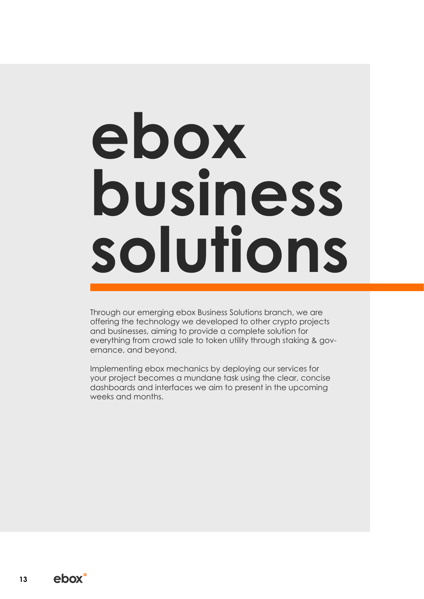# **ebox business solutions**

Through our emerging ebox Business Solutions branch, we are offering the technology we developed to other crypto projects and businesses, aiming to provide a complete solution for everything from crowd sale to token utility through staking & governance, and beyond.

Implementing ebox mechanics by deploying our services for your project becomes a mundane task using the clear, concise dashboards and interfaces we aim to present in the upcoming weeks and months.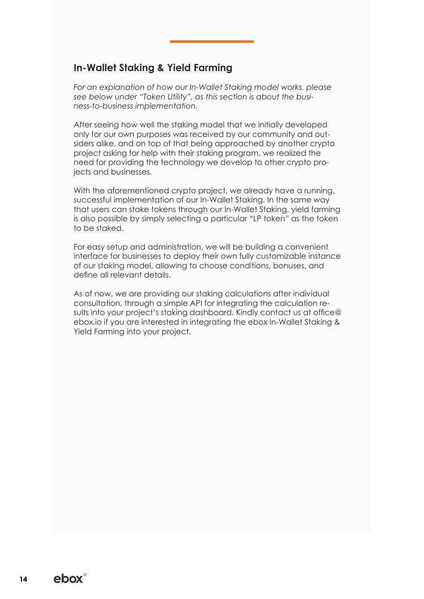# **In-Wallet Staking & Yield Farming**

*For an explanation of how our In-Wallet Staking model works, please see below under "Token Utility", as this section is about the business-to-business implementation.*

After seeing how well the staking model that we initially developed only for our own purposes was received by our community and outsiders alike, and on top of that being approached by another crypto project asking for help with their staking program, we realized the need for providing the technology we develop to other crypto projects and businesses.

With the aforementioned crypto project, we already have a running, successful implementation of our In-Wallet Staking. In the same way that users can stake tokens through our In-Wallet Staking, yield farming is also possible by simply selecting a particular "LP token" as the token to be staked.

For easy setup and administration, we will be building a convenient interface for businesses to deploy their own fully customizable instance of our staking model, allowing to choose conditions, bonuses, and define all relevant details.

As of now, we are providing our staking calculations after individual consultation, through a simple API for integrating the calculation results into your project's staking dashboard. Kindly contact us at office@ ebox.io if you are interested in integrating the ebox In-Wallet Staking & Yield Farming into your project.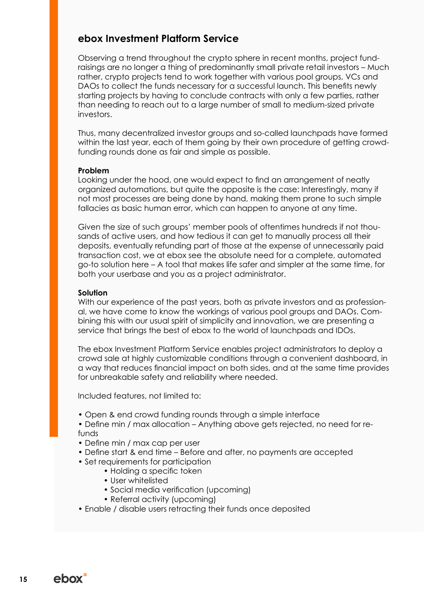# **ebox Investment Platform Service**

Observing a trend throughout the crypto sphere in recent months, project fundraisings are no longer a thing of predominantly small private retail investors – Much rather, crypto projects tend to work together with various pool groups, VCs and DAOs to collect the funds necessary for a successful launch. This benefits newly starting projects by having to conclude contracts with only a few parties, rather than needing to reach out to a large number of small to medium-sized private investors.

Thus, many decentralized investor groups and so-called launchpads have formed within the last year, each of them going by their own procedure of getting crowdfunding rounds done as fair and simple as possible.

#### **Problem**

Looking under the hood, one would expect to find an arrangement of neatly organized automations, but quite the opposite is the case: Interestingly, many if not most processes are being done by hand, making them prone to such simple fallacies as basic human error, which can happen to anyone at any time.

Given the size of such groups' member pools of oftentimes hundreds if not thousands of active users, and how tedious it can get to manually process all their deposits, eventually refunding part of those at the expense of unnecessarily paid transaction cost, we at ebox see the absolute need for a complete, automated go-to solution here – A tool that makes life safer and simpler at the same time, for both your userbase and you as a project administrator.

#### **Solution**

With our experience of the past years, both as private investors and as professional, we have come to know the workings of various pool groups and DAOs. Combining this with our usual spirit of simplicity and innovation, we are presenting a service that brings the best of ebox to the world of launchpads and IDOs.

The ebox Investment Platform Service enables project administrators to deploy a crowd sale at highly customizable conditions through a convenient dashboard, in a way that reduces financial impact on both sides, and at the same time provides for unbreakable safety and reliability where needed.

Included features, not limited to:

- Open & end crowd funding rounds through a simple interface
- Define min / max allocation Anything above gets rejected, no need for refunds
- Define min / max cap per user
- Define start & end time Before and after, no payments are accepted
- Set requirements for participation
	- Holding a specific token
		- User whitelisted
		- Social media verification (upcoming)
		- Referral activity (upcoming)
- Enable / disable users retracting their funds once deposited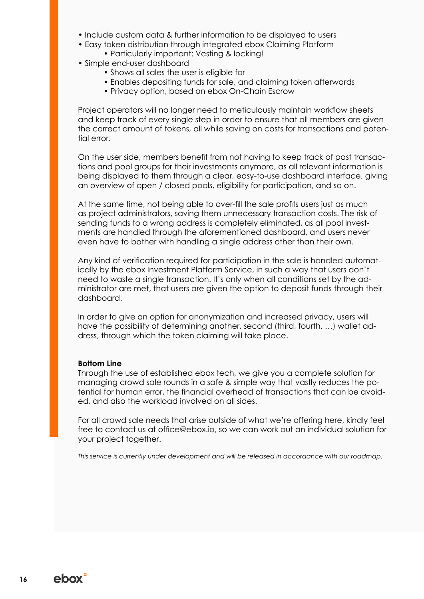- Include custom data & further information to be displayed to users
- Easy token distribution through integrated ebox Claiming Platform
	- Particularly important: Vesting & locking!
- Simple end-user dashboard
	- Shows all sales the user is eligible for
	- Enables depositing funds for sale, and claiming token afterwards
	- Privacy option, based on ebox On-Chain Escrow

Project operators will no longer need to meticulously maintain workflow sheets and keep track of every single step in order to ensure that all members are given the correct amount of tokens, all while saving on costs for transactions and potential error.

On the user side, members benefit from not having to keep track of past transactions and pool groups for their investments anymore, as all relevant information is being displayed to them through a clear, easy-to-use dashboard interface, giving an overview of open / closed pools, eligibility for participation, and so on.

At the same time, not being able to over-fill the sale profits users just as much as project administrators, saving them unnecessary transaction costs. The risk of sending funds to a wrong address is completely eliminated, as all pool investments are handled through the aforementioned dashboard, and users never even have to bother with handling a single address other than their own.

Any kind of verification required for participation in the sale is handled automatically by the ebox Investment Platform Service, in such a way that users don't need to waste a single transaction. It's only when all conditions set by the administrator are met, that users are given the option to deposit funds through their dashboard.

In order to give an option for anonymization and increased privacy, users will have the possibility of determining another, second (third, fourth, …) wallet address, through which the token claiming will take place.

#### **Bottom Line**

Through the use of established ebox tech, we give you a complete solution for managing crowd sale rounds in a safe & simple way that vastly reduces the potential for human error, the financial overhead of transactions that can be avoided, and also the workload involved on all sides.

For all crowd sale needs that arise outside of what we're offering here, kindly feel free to contact us at office@ebox.io, so we can work out an individual solution for your project together.

*This service is currently under development and will be released in accordance with our roadmap.*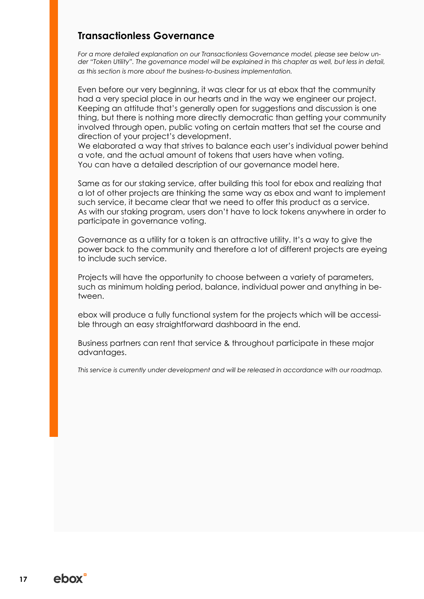# **Transactionless Governance**

*For a more detailed explanation on our Transactionless Governance model, please see below under "Token Utility". The governance model will be explained in this chapter as well, but less in detail, as this section is more about the business-to-business implementation.*

Even before our very beginning, it was clear for us at ebox that the community had a very special place in our hearts and in the way we engineer our project. Keeping an attitude that's generally open for suggestions and discussion is one thing, but there is nothing more directly democratic than getting your community involved through open, public voting on certain matters that set the course and direction of your project's development.

We elaborated a way that strives to balance each user's individual power behind a vote, and the actual amount of tokens that users have when voting. You can have a detailed description of our governance model here.

Same as for our staking service, after building this tool for ebox and realizing that a lot of other projects are thinking the same way as ebox and want to implement such service, it became clear that we need to offer this product as a service. As with our staking program, users don't have to lock tokens anywhere in order to participate in governance voting.

Governance as a utility for a token is an attractive utility. It's a way to give the power back to the community and therefore a lot of different projects are eyeing to include such service.

Projects will have the opportunity to choose between a variety of parameters, such as minimum holding period, balance, individual power and anything in between.

ebox will produce a fully functional system for the projects which will be accessible through an easy straightforward dashboard in the end.

Business partners can rent that service & throughout participate in these major advantages.

*This service is currently under development and will be released in accordance with our roadmap.*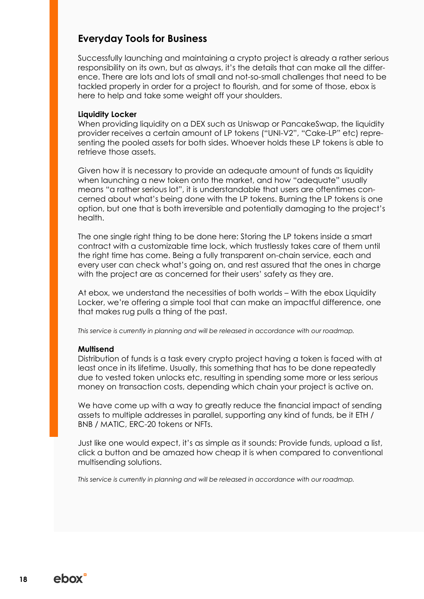### **Everyday Tools for Business**

Successfully launching and maintaining a crypto project is already a rather serious responsibility on its own, but as always, it's the details that can make all the difference. There are lots and lots of small and not-so-small challenges that need to be tackled properly in order for a project to flourish, and for some of those, ebox is here to help and take some weight off your shoulders.

#### **Liquidity Locker**

When providing liquidity on a DEX such as Uniswap or PancakeSwap, the liquidity provider receives a certain amount of LP tokens ("UNI-V2", "Cake-LP" etc) representing the pooled assets for both sides. Whoever holds these LP tokens is able to retrieve those assets.

Given how it is necessary to provide an adequate amount of funds as liquidity when launching a new token onto the market, and how "adequate" usually means "a rather serious lot", it is understandable that users are oftentimes concerned about what's being done with the LP tokens. Burning the LP tokens is one option, but one that is both irreversible and potentially damaging to the project's health.

The one single right thing to be done here: Storing the LP tokens inside a smart contract with a customizable time lock, which trustlessly takes care of them until the right time has come. Being a fully transparent on-chain service, each and every user can check what's going on, and rest assured that the ones in charge with the project are as concerned for their users' safety as they are.

At ebox, we understand the necessities of both worlds – With the ebox Liquidity Locker, we're offering a simple tool that can make an impactful difference, one that makes rug pulls a thing of the past.

*This service is currently in planning and will be released in accordance with our roadmap.*

#### **Multisend**

Distribution of funds is a task every crypto project having a token is faced with at least once in its lifetime. Usually, this something that has to be done repeatedly due to vested token unlocks etc, resulting in spending some more or less serious money on transaction costs, depending which chain your project is active on.

We have come up with a way to greatly reduce the financial impact of sending assets to multiple addresses in parallel, supporting any kind of funds, be it ETH / BNB / MATIC, ERC-20 tokens or NFTs.

Just like one would expect, it's as simple as it sounds: Provide funds, upload a list, click a button and be amazed how cheap it is when compared to conventional multisending solutions.

*This service is currently in planning and will be released in accordance with our roadmap.*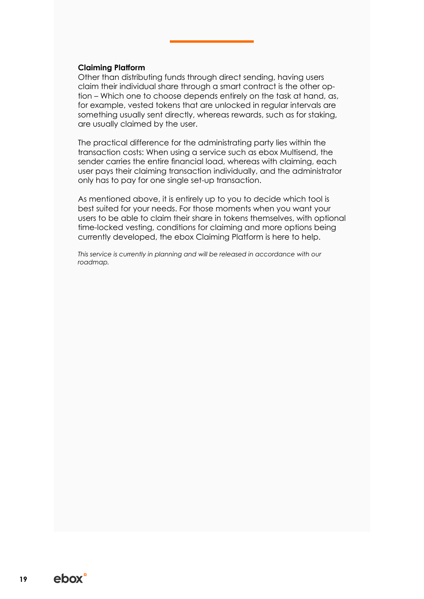#### **Claiming Platform**

Other than distributing funds through direct sending, having users claim their individual share through a smart contract is the other option – Which one to choose depends entirely on the task at hand, as, for example, vested tokens that are unlocked in regular intervals are something usually sent directly, whereas rewards, such as for staking, are usually claimed by the user.

The practical difference for the administrating party lies within the transaction costs: When using a service such as ebox Multisend, the sender carries the entire financial load, whereas with claiming, each user pays their claiming transaction individually, and the administrator only has to pay for one single set-up transaction.

As mentioned above, it is entirely up to you to decide which tool is best suited for your needs. For those moments when you want your users to be able to claim their share in tokens themselves, with optional time-locked vesting, conditions for claiming and more options being currently developed, the ebox Claiming Platform is here to help.

*This service is currently in planning and will be released in accordance with our roadmap.*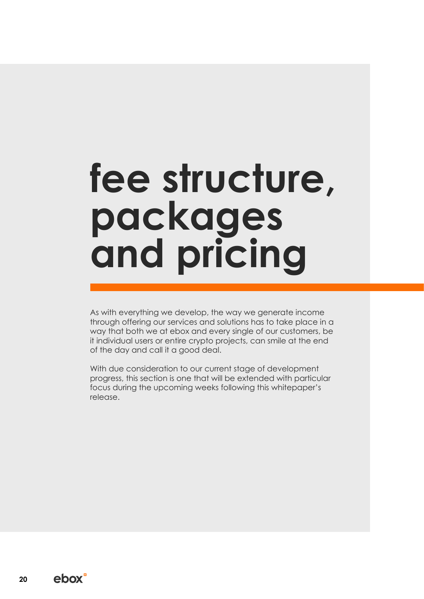# fee structure, **packages and pricing**

As with everything we develop, the way we generate income through offering our services and solutions has to take place in a way that both we at ebox and every single of our customers, be it individual users or entire crypto projects, can smile at the end of the day and call it a good deal.

With due consideration to our current stage of development progress, this section is one that will be extended with particular focus during the upcoming weeks following this whitepaper's release.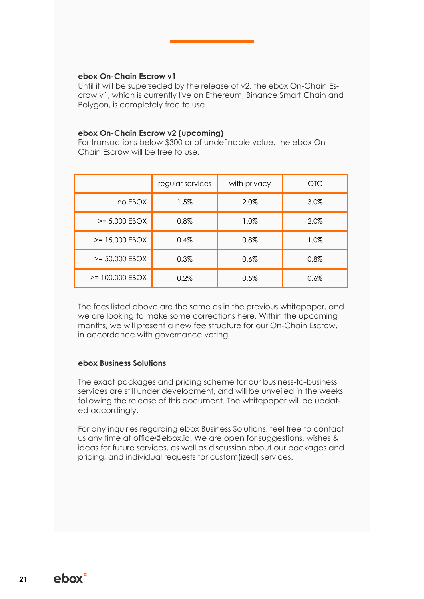#### **ebox On-Chain Escrow v1**

Until it will be superseded by the release of v2, the ebox On-Chain Escrow v1, which is currently live on Ethereum, Binance Smart Chain and Polygon, is completely free to use.

#### **ebox On-Chain Escrow v2 (upcoming)**

For transactions below \$300 or of undefinable value, the ebox On-Chain Escrow will be free to use.

|                   | regular services | with privacy | <b>OTC</b> |
|-------------------|------------------|--------------|------------|
| no EBOX           | 1.5%             | 2.0%         | 3.0%       |
| $>= 5.000$ EBOX   | 0.8%             | 1.0%         | 2.0%       |
| $>= 15,000$ EBOX  | 0.4%             | 0.8%         | 1.0%       |
| $>= 50.000$ EBOX  | 0.3%             | 0.6%         | 0.8%       |
| $>= 100.000$ EBOX | 0.2%             | 0.5%         | 0.6%       |

The fees listed above are the same as in the previous whitepaper, and we are looking to make some corrections here. Within the upcoming months, we will present a new fee structure for our On-Chain Escrow, in accordance with governance voting.

#### **ebox Business Solutions**

The exact packages and pricing scheme for our business-to-business services are still under development, and will be unveiled in the weeks following the release of this document. The whitepaper will be updated accordingly.

For any inquiries regarding ebox Business Solutions, feel free to contact us any time at office@ebox.io. We are open for suggestions, wishes & ideas for future services, as well as discussion about our packages and pricing, and individual requests for custom(ized) services.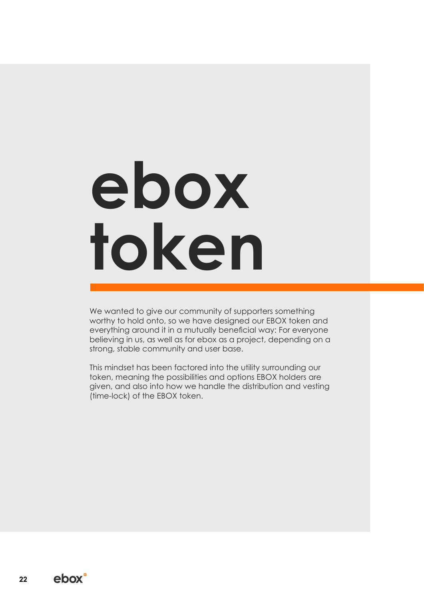# **ebox token**

We wanted to give our community of supporters something worthy to hold onto, so we have designed our EBOX token and everything around it in a mutually beneficial way: For everyone believing in us, as well as for ebox as a project, depending on a strong, stable community and user base.

This mindset has been factored into the utility surrounding our token, meaning the possibilities and options EBOX holders are given, and also into how we handle the distribution and vesting (time-lock) of the EBOX token.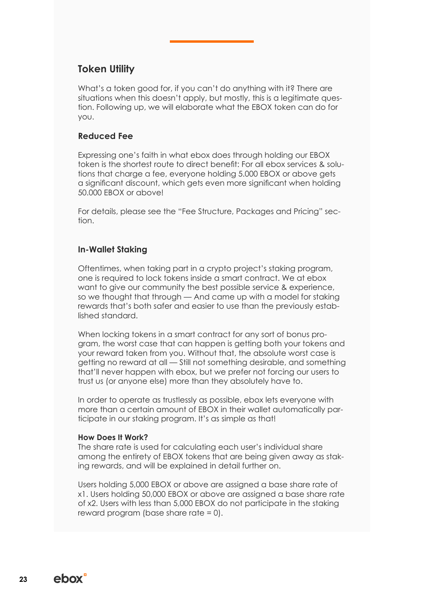## **Token Utility**

What's a token good for, if you can't do anything with it? There are situations when this doesn't apply, but mostly, this is a legitimate question. Following up, we will elaborate what the EBOX token can do for you.

#### **Reduced Fee**

Expressing one's faith in what ebox does through holding our EBOX token is the shortest route to direct benefit: For all ebox services & solutions that charge a fee, everyone holding 5.000 EBOX or above gets a significant discount, which gets even more significant when holding 50.000 EBOX or above!

For details, please see the "Fee Structure, Packages and Pricing" section.

#### **In-Wallet Staking**

Oftentimes, when taking part in a crypto project's staking program, one is required to lock tokens inside a smart contract. We at ebox want to give our community the best possible service & experience, so we thought that through — And came up with a model for staking rewards that's both safer and easier to use than the previously established standard.

When locking tokens in a smart contract for any sort of bonus program, the worst case that can happen is getting both your tokens and your reward taken from you. Without that, the absolute worst case is getting no reward at all — Still not something desirable, and something that'll never happen with ebox, but we prefer not forcing our users to trust us (or anyone else) more than they absolutely have to.

In order to operate as trustlessly as possible, ebox lets everyone with more than a certain amount of EBOX in their wallet automatically participate in our staking program. It's as simple as that!

#### **How Does It Work?**

The share rate is used for calculating each user's individual share among the entirety of EBOX tokens that are being given away as staking rewards, and will be explained in detail further on.

Users holding 5,000 EBOX or above are assigned a base share rate of x1. Users holding 50,000 EBOX or above are assigned a base share rate of x2. Users with less than 5,000 EBOX do not participate in the staking reward program (base share rate = 0).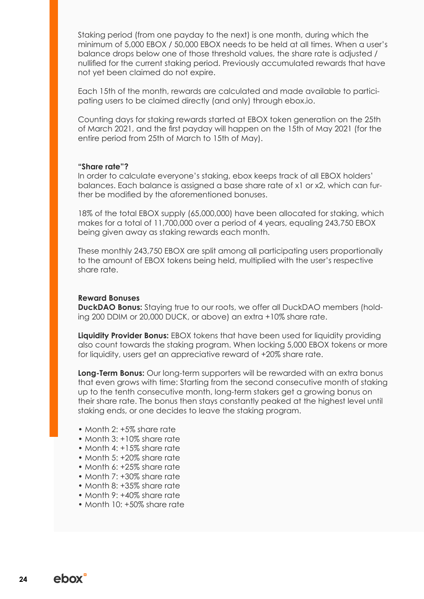Staking period (from one payday to the next) is one month, during which the minimum of 5,000 EBOX / 50,000 EBOX needs to be held at all times. When a user's balance drops below one of those threshold values, the share rate is adjusted / nullified for the current staking period. Previously accumulated rewards that have not yet been claimed do not expire.

Each 15th of the month, rewards are calculated and made available to participating users to be claimed directly (and only) through ebox.io.

Counting days for staking rewards started at EBOX token generation on the 25th of March 2021, and the first payday will happen on the 15th of May 2021 (for the entire period from 25th of March to 15th of May).

#### **"Share rate"?**

In order to calculate everyone's staking, ebox keeps track of all EBOX holders' balances. Each balance is assigned a base share rate of x1 or x2, which can further be modified by the aforementioned bonuses.

18% of the total EBOX supply (65,000,000) have been allocated for staking, which makes for a total of 11,700,000 over a period of 4 years, equaling 243,750 EBOX being given away as staking rewards each month.

These monthly 243,750 EBOX are split among all participating users proportionally to the amount of EBOX tokens being held, multiplied with the user's respective share rate.

#### **Reward Bonuses**

**DuckDAO Bonus:** Staying true to our roots, we offer all DuckDAO members (holding 200 DDIM or 20,000 DUCK, or above) an extra +10% share rate.

**Liquidity Provider Bonus:** EBOX tokens that have been used for liquidity providing also count towards the staking program. When locking 5,000 EBOX tokens or more for liquidity, users get an appreciative reward of +20% share rate.

**Long-Term Bonus:** Our long-term supporters will be rewarded with an extra bonus that even grows with time: Starting from the second consecutive month of staking up to the tenth consecutive month, long-term stakers get a growing bonus on their share rate. The bonus then stays constantly peaked at the highest level until staking ends, or one decides to leave the staking program.

- Month 2: +5% share rate
- Month 3: +10% share rate
- Month 4: +15% share rate
- Month 5: +20% share rate
- Month 6: +25% share rate
- Month 7: +30% share rate
- Month 8: +35% share rate
- Month 9: +40% share rate
- Month 10: +50% share rate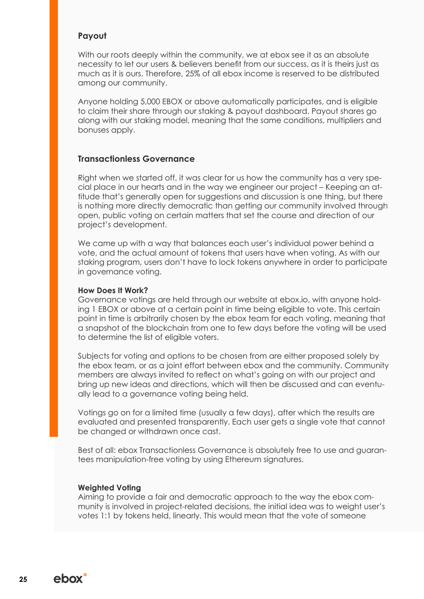#### **Payout**

With our roots deeply within the community, we at ebox see it as an absolute necessity to let our users & believers benefit from our success, as it is theirs just as much as it is ours. Therefore, 25% of all ebox income is reserved to be distributed among our community.

Anyone holding 5,000 EBOX or above automatically participates, and is eligible to claim their share through our staking & payout dashboard. Payout shares go along with our staking model, meaning that the same conditions, multipliers and bonuses apply.

#### **Transactionless Governance**

Right when we started off, it was clear for us how the community has a very special place in our hearts and in the way we engineer our project – Keeping an attitude that's generally open for suggestions and discussion is one thing, but there is nothing more directly democratic than getting our community involved through open, public voting on certain matters that set the course and direction of our project's development.

We came up with a way that balances each user's individual power behind a vote, and the actual amount of tokens that users have when voting. As with our staking program, users don't have to lock tokens anywhere in order to participate in governance voting.

#### **How Does It Work?**

Governance votings are held through our website at ebox.io, with anyone holding 1 EBOX or above at a certain point in time being eligible to vote. This certain point in time is arbitrarily chosen by the ebox team for each voting, meaning that a snapshot of the blockchain from one to few days before the voting will be used to determine the list of eligible voters.

Subjects for voting and options to be chosen from are either proposed solely by the ebox team, or as a joint effort between ebox and the community. Community members are always invited to reflect on what's going on with our project and bring up new ideas and directions, which will then be discussed and can eventually lead to a governance voting being held.

Votings go on for a limited time (usually a few days), after which the results are evaluated and presented transparently. Each user gets a single vote that cannot be changed or withdrawn once cast.

Best of all: ebox Transactionless Governance is absolutely free to use and guarantees manipulation-free voting by using Ethereum signatures.

#### **Weighted Voting**

Aiming to provide a fair and democratic approach to the way the ebox community is involved in project-related decisions, the initial idea was to weight user's votes 1:1 by tokens held, linearly. This would mean that the vote of someone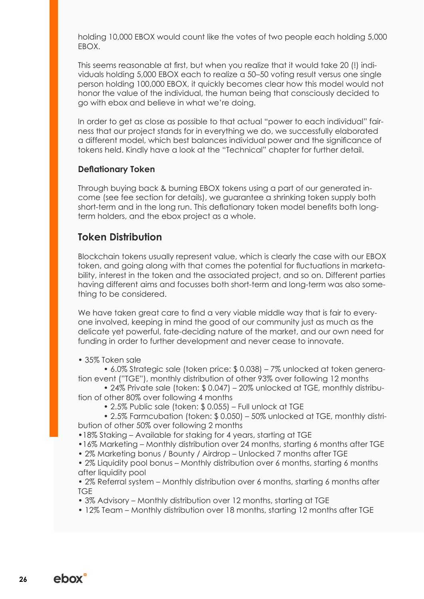holding 10,000 EBOX would count like the votes of two people each holding 5,000 EBOX.

This seems reasonable at first, but when you realize that it would take 20 (!) individuals holding 5,000 EBOX each to realize a 50–50 voting result versus one single person holding 100,000 EBOX, it quickly becomes clear how this model would not honor the value of the individual, the human being that consciously decided to go with ebox and believe in what we're doing.

In order to get as close as possible to that actual "power to each individual" fairness that our project stands for in everything we do, we successfully elaborated a different model, which best balances individual power and the significance of tokens held. Kindly have a look at the "Technical" chapter for further detail.

#### **Deflationary Token**

Through buying back & burning EBOX tokens using a part of our generated income (see fee section for details), we guarantee a shrinking token supply both short-term and in the long run. This deflationary token model benefits both longterm holders, and the ebox project as a whole.

# **Token Distribution**

Blockchain tokens usually represent value, which is clearly the case with our EBOX token, and going along with that comes the potential for fluctuations in marketability, interest in the token and the associated project, and so on. Different parties having different aims and focusses both short-term and long-term was also something to be considered.

We have taken great care to find a very viable middle way that is fair to everyone involved, keeping in mind the good of our community just as much as the delicate yet powerful, fate-deciding nature of the market, and our own need for funding in order to further development and never cease to innovate.

• 35% Token sale

• 6.0% Strategic sale (token price: \$ 0.038) – 7% unlocked at token generation event ("TGE"), monthly distribution of other 93% over following 12 months

• 24% Private sale (token: \$ 0.047) – 20% unlocked at TGE, monthly distribution of other 80% over following 4 months

• 2.5% Public sale (token: \$ 0.055) – Full unlock at TGE

• 2.5% Farmcubation (token: \$ 0.050) – 50% unlocked at TGE, monthly distribution of other 50% over following 2 months

•18% Staking – Available for staking for 4 years, starting at TGE

•16% Marketing – Monthly distribution over 24 months, starting 6 months after TGE

• 2% Marketing bonus / Bounty / Airdrop – Unlocked 7 months after TGE

• 2% Liquidity pool bonus – Monthly distribution over 6 months, starting 6 months after liquidity pool

• 2% Referral system – Monthly distribution over 6 months, starting 6 months after TGE

• 3% Advisory – Monthly distribution over 12 months, starting at TGE

• 12% Team – Monthly distribution over 18 months, starting 12 months after TGE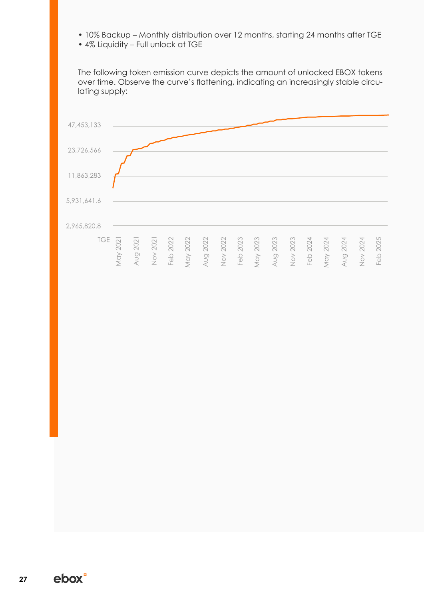- 10% Backup Monthly distribution over 12 months, starting 24 months after TGE
- 4% Liquidity Full unlock at TGE

The following token emission curve depicts the amount of unlocked EBOX tokens over time. Observe the curve's flattening, indicating an increasingly stable circulating supply:

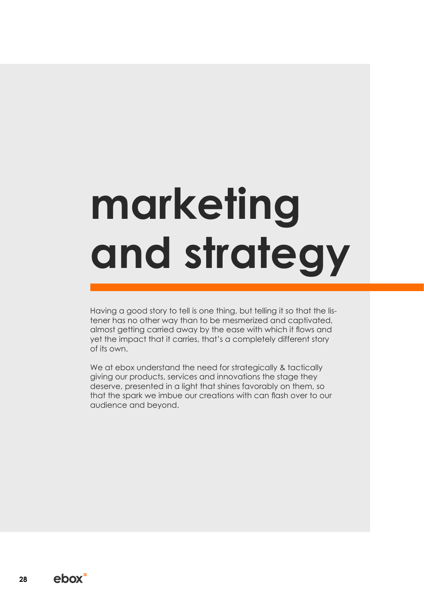# **marketing and strategy**

Having a good story to tell is one thing, but telling it so that the listener has no other way than to be mesmerized and captivated, almost getting carried away by the ease with which it flows and yet the impact that it carries, that's a completely different story of its own.

We at ebox understand the need for strategically & tactically giving our products, services and innovations the stage they deserve, presented in a light that shines favorably on them, so that the spark we imbue our creations with can flash over to our audience and beyond.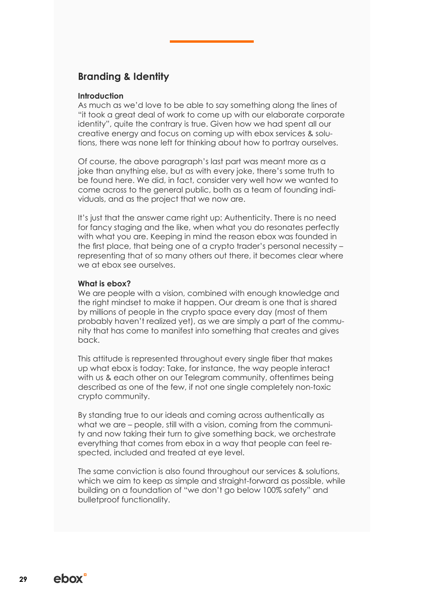# **Branding & Identity**

#### **Introduction**

As much as we'd love to be able to say something along the lines of "it took a great deal of work to come up with our elaborate corporate identity", quite the contrary is true. Given how we had spent all our creative energy and focus on coming up with ebox services & solutions, there was none left for thinking about how to portray ourselves.

Of course, the above paragraph's last part was meant more as a joke than anything else, but as with every joke, there's some truth to be found here. We did, in fact, consider very well how we wanted to come across to the general public, both as a team of founding individuals, and as the project that we now are.

It's just that the answer came right up: Authenticity. There is no need for fancy staging and the like, when what you do resonates perfectly with what you are. Keeping in mind the reason ebox was founded in the first place, that being one of a crypto trader's personal necessity – representing that of so many others out there, it becomes clear where we at ebox see ourselves.

#### **What is ebox?**

We are people with a vision, combined with enough knowledge and the right mindset to make it happen. Our dream is one that is shared by millions of people in the crypto space every day (most of them probably haven't realized yet), as we are simply a part of the community that has come to manifest into something that creates and gives back.

This attitude is represented throughout every single fiber that makes up what ebox is today: Take, for instance, the way people interact with us & each other on our Telegram community, oftentimes being described as one of the few, if not one single completely non-toxic crypto community.

By standing true to our ideals and coming across authentically as what we are – people, still with a vision, comina from the community and now taking their turn to give something back, we orchestrate everything that comes from ebox in a way that people can feel respected, included and treated at eye level.

The same conviction is also found throughout our services & solutions, which we aim to keep as simple and straight-forward as possible, while building on a foundation of "we don't go below 100% safety" and bulletproof functionality.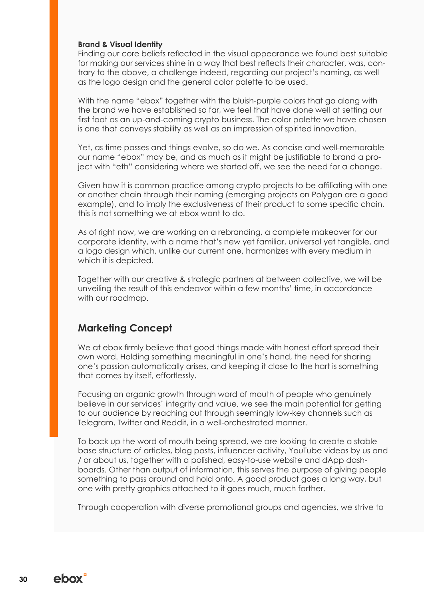#### **Brand & Visual Identity**

Finding our core beliefs reflected in the visual appearance we found best suitable for making our services shine in a way that best reflects their character, was, contrary to the above, a challenge indeed, regarding our project's naming, as well as the logo design and the general color palette to be used.

With the name "ebox" together with the bluish-purple colors that go along with the brand we have established so far, we feel that have done well at setting our first foot as an up-and-coming crypto business. The color palette we have chosen is one that conveys stability as well as an impression of spirited innovation.

Yet, as time passes and things evolve, so do we. As concise and well-memorable our name "ebox" may be, and as much as it might be justifiable to brand a project with "eth" considering where we started off, we see the need for a change.

Given how it is common practice among crypto projects to be affiliating with one or another chain through their naming (emerging projects on Polygon are a good example), and to imply the exclusiveness of their product to some specific chain, this is not something we at ebox want to do.

As of right now, we are working on a rebranding, a complete makeover for our corporate identity, with a name that's new yet familiar, universal yet tangible, and a logo design which, unlike our current one, harmonizes with every medium in which it is depicted.

Together with our creative & strategic partners at between collective, we will be unveiling the result of this endeavor within a few months' time, in accordance with our roadmap.

### **Marketing Concept**

We at ebox firmly believe that good things made with honest effort spread their own word. Holding something meaningful in one's hand, the need for sharing one's passion automatically arises, and keeping it close to the hart is something that comes by itself, effortlessly.

Focusing on organic growth through word of mouth of people who genuinely believe in our services' integrity and value, we see the main potential for getting to our audience by reaching out through seemingly low-key channels such as Telegram, Twitter and Reddit, in a well-orchestrated manner.

To back up the word of mouth being spread, we are looking to create a stable base structure of articles, blog posts, influencer activity, YouTube videos by us and / or about us, together with a polished, easy-to-use website and dApp dashboards. Other than output of information, this serves the purpose of giving people something to pass around and hold onto. A good product goes a long way, but one with pretty graphics attached to it goes much, much farther.

Through cooperation with diverse promotional groups and agencies, we strive to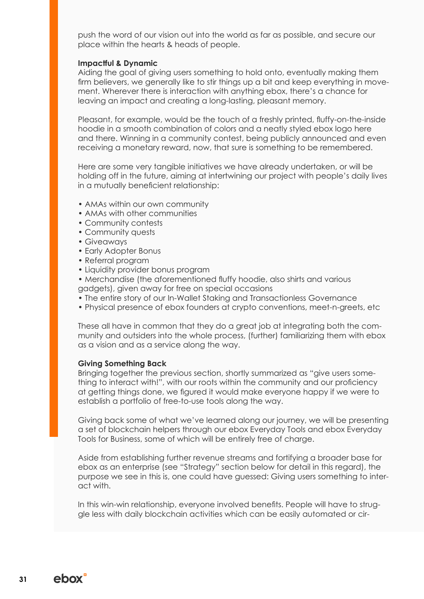push the word of our vision out into the world as far as possible, and secure our place within the hearts & heads of people.

#### **Impactful & Dynamic**

Aiding the goal of giving users something to hold onto, eventually making them firm believers, we generally like to stir things up a bit and keep everything in movement. Wherever there is interaction with anything ebox, there's a chance for leaving an impact and creating a long-lasting, pleasant memory.

Pleasant, for example, would be the touch of a freshly printed, fluffy-on-the-inside hoodie in a smooth combination of colors and a neatly styled ebox logo here and there. Winning in a community contest, being publicly announced and even receiving a monetary reward, now, that sure is something to be remembered.

Here are some very tangible initiatives we have already undertaken, or will be holding off in the future, aiming at intertwining our project with people's daily lives in a mutually beneficient relationship:

- AMAs within our own community
- AMAs with other communities
- Community contests
- Community quests
- Giveaways
- Early Adopter Bonus
- Referral program
- Liquidity provider bonus program
- Merchandise (the aforementioned fluffy hoodie, also shirts and various gadgets), given away for free on special occasions
- The entire story of our In-Wallet Staking and Transactionless Governance
- Physical presence of ebox founders at crypto conventions, meet-n-greets, etc

These all have in common that they do a great job at integrating both the community and outsiders into the whole process, (further) familiarizing them with ebox as a vision and as a service along the way.

#### **Giving Something Back**

Bringing together the previous section, shortly summarized as "give users something to interact with!", with our roots within the community and our proficiency at getting things done, we figured it would make everyone happy if we were to establish a portfolio of free-to-use tools along the way.

Giving back some of what we've learned along our journey, we will be presenting a set of blockchain helpers through our ebox Everyday Tools and ebox Everyday Tools for Business, some of which will be entirely free of charge.

Aside from establishing further revenue streams and fortifying a broader base for ebox as an enterprise (see "Strategy" section below for detail in this regard), the purpose we see in this is, one could have guessed: Giving users something to interact with.

In this win-win relationship, everyone involved benefits. People will have to struggle less with daily blockchain activities which can be easily automated or cir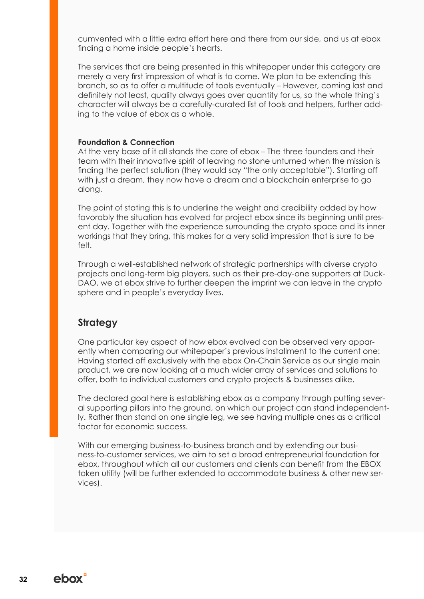cumvented with a little extra effort here and there from our side, and us at ebox finding a home inside people's hearts.

The services that are being presented in this whitepaper under this category are merely a very first impression of what is to come. We plan to be extending this branch, so as to offer a multitude of tools eventually – However, coming last and definitely not least, quality always goes over quantity for us, so the whole thing's character will always be a carefully-curated list of tools and helpers, further adding to the value of ebox as a whole.

#### **Foundation & Connection**

At the very base of it all stands the core of ebox – The three founders and their team with their innovative spirit of leaving no stone unturned when the mission is finding the perfect solution (they would say "the only acceptable"). Starting off with just a dream, they now have a dream and a blockchain enterprise to go along.

The point of stating this is to underline the weight and credibility added by how favorably the situation has evolved for project ebox since its beginning until present day. Together with the experience surrounding the crypto space and its inner workings that they bring, this makes for a very solid impression that is sure to be felt.

Through a well-established network of strategic partnerships with diverse crypto projects and long-term big players, such as their pre-day-one supporters at Duck-DAO, we at ebox strive to further deepen the imprint we can leave in the crypto sphere and in people's everyday lives.

# **Strategy**

One particular key aspect of how ebox evolved can be observed very apparently when comparing our whitepaper's previous installment to the current one: Having started off exclusively with the ebox On-Chain Service as our single main product, we are now looking at a much wider array of services and solutions to offer, both to individual customers and crypto projects & businesses alike.

The declared goal here is establishing ebox as a company through putting several supporting pillars into the ground, on which our project can stand independently. Rather than stand on one single leg, we see having multiple ones as a critical factor for economic success.

With our emerging business-to-business branch and by extending our business-to-customer services, we aim to set a broad entrepreneurial foundation for ebox, throughout which all our customers and clients can benefit from the EBOX token utility (will be further extended to accommodate business & other new services).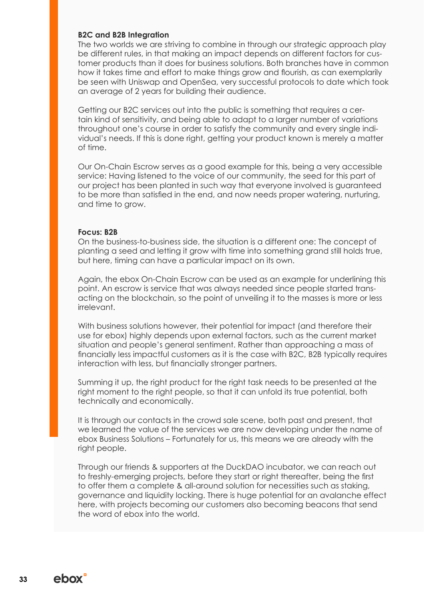#### **B2C and B2B Integration**

The two worlds we are striving to combine in through our strategic approach play be different rules, in that making an impact depends on different factors for customer products than it does for business solutions. Both branches have in common how it takes time and effort to make things grow and flourish, as can exemplarily be seen with Uniswap and OpenSea, very successful protocols to date which took an average of 2 years for building their audience.

Getting our B2C services out into the public is something that requires a certain kind of sensitivity, and being able to adapt to a larger number of variations throughout one's course in order to satisfy the community and every single individual's needs. If this is done right, getting your product known is merely a matter of time.

Our On-Chain Escrow serves as a good example for this, being a very accessible service: Having listened to the voice of our community, the seed for this part of our project has been planted in such way that everyone involved is guaranteed to be more than satisfied in the end, and now needs proper watering, nurturing, and time to grow.

#### **Focus: B2B**

On the business-to-business side, the situation is a different one: The concept of planting a seed and letting it grow with time into something grand still holds true, but here, timing can have a particular impact on its own.

Again, the ebox On-Chain Escrow can be used as an example for underlining this point. An escrow is service that was always needed since people started transacting on the blockchain, so the point of unveiling it to the masses is more or less irrelevant.

With business solutions however, their potential for impact (and therefore their use for ebox) highly depends upon external factors, such as the current market situation and people's general sentiment. Rather than approaching a mass of financially less impactful customers as it is the case with B2C, B2B typically requires interaction with less, but financially stronger partners.

Summing it up, the right product for the right task needs to be presented at the right moment to the right people, so that it can unfold its true potential, both technically and economically.

It is through our contacts in the crowd sale scene, both past and present, that we learned the value of the services we are now developing under the name of ebox Business Solutions – Fortunately for us, this means we are already with the right people.

Through our friends & supporters at the DuckDAO incubator, we can reach out to freshly-emerging projects, before they start or right thereafter, being the first to offer them a complete & all-around solution for necessities such as staking, governance and liquidity locking. There is huge potential for an avalanche effect here, with projects becoming our customers also becoming beacons that send the word of ebox into the world.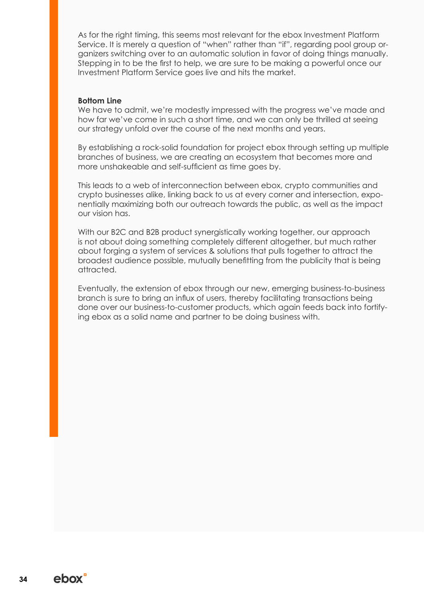As for the right timing, this seems most relevant for the ebox Investment Platform Service. It is merely a question of "when" rather than "if", regarding pool group organizers switching over to an automatic solution in favor of doing things manually. Stepping in to be the first to help, we are sure to be making a powerful once our Investment Platform Service goes live and hits the market.

#### **Bottom Line**

We have to admit, we're modestly impressed with the progress we've made and how far we've come in such a short time, and we can only be thrilled at seeing our strategy unfold over the course of the next months and years.

By establishing a rock-solid foundation for project ebox through setting up multiple branches of business, we are creating an ecosystem that becomes more and more unshakeable and self-sufficient as time goes by.

This leads to a web of interconnection between ebox, crypto communities and crypto businesses alike, linking back to us at every corner and intersection, exponentially maximizing both our outreach towards the public, as well as the impact our vision has.

With our B2C and B2B product synergistically working together, our approach is not about doing something completely different altogether, but much rather about forging a system of services & solutions that pulls together to attract the broadest audience possible, mutually benefitting from the publicity that is being attracted.

Eventually, the extension of ebox through our new, emerging business-to-business branch is sure to bring an influx of users, thereby facilitating transactions being done over our business-to-customer products, which again feeds back into fortifying ebox as a solid name and partner to be doing business with.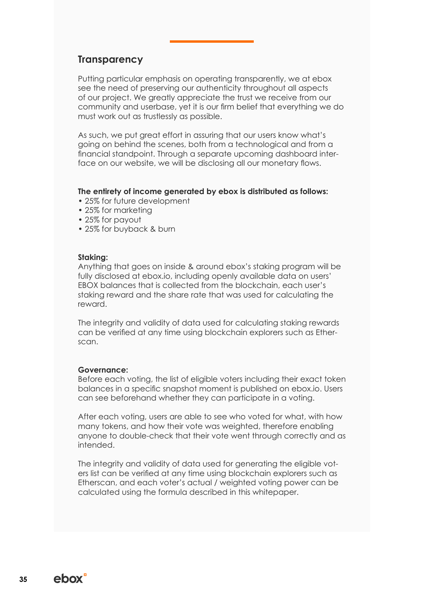### **Transparency**

Putting particular emphasis on operating transparently, we at ebox see the need of preserving our authenticity throughout all aspects of our project. We greatly appreciate the trust we receive from our community and userbase, yet it is our firm belief that everything we do must work out as trustlessly as possible.

As such, we put great effort in assuring that our users know what's going on behind the scenes, both from a technological and from a financial standpoint. Through a separate upcoming dashboard interface on our website, we will be disclosing all our monetary flows.

#### **The entirety of income generated by ebox is distributed as follows:**

- 25% for future development
- 25% for marketing
- 25% for payout
- 25% for buyback & burn

#### **Staking:**

Anything that goes on inside & around ebox's staking program will be fully disclosed at ebox.io, including openly available data on users' EBOX balances that is collected from the blockchain, each user's staking reward and the share rate that was used for calculating the reward.

The integrity and validity of data used for calculating staking rewards can be verified at any time using blockchain explorers such as Etherscan.

#### **Governance:**

Before each voting, the list of eligible voters including their exact token balances in a specific snapshot moment is published on ebox.io. Users can see beforehand whether they can participate in a voting.

After each voting, users are able to see who voted for what, with how many tokens, and how their vote was weighted, therefore enabling anyone to double-check that their vote went through correctly and as intended.

The integrity and validity of data used for generating the eligible voters list can be verified at any time using blockchain explorers such as Etherscan, and each voter's actual / weighted voting power can be calculated using the formula described in this whitepaper.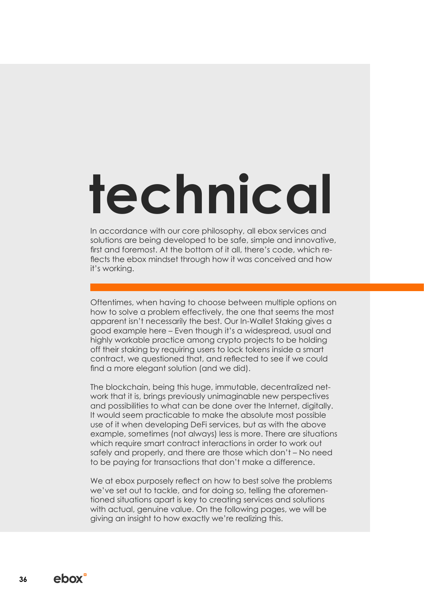# **technical**

In accordance with our core philosophy, all ebox services and solutions are being developed to be safe, simple and innovative, first and foremost. At the bottom of it all, there's code, which reflects the ebox mindset through how it was conceived and how it's working.

Oftentimes, when having to choose between multiple options on how to solve a problem effectively, the one that seems the most apparent isn't necessarily the best. Our In-Wallet Staking gives a good example here – Even though it's a widespread, usual and highly workable practice among crypto projects to be holding off their staking by requiring users to lock tokens inside a smart contract, we questioned that, and reflected to see if we could find a more elegant solution (and we did).

The blockchain, being this huge, immutable, decentralized network that it is, brings previously unimaginable new perspectives and possibilities to what can be done over the Internet, digitally. It would seem practicable to make the absolute most possible use of it when developing DeFi services, but as with the above example, sometimes (not always) less is more. There are situations which require smart contract interactions in order to work out safely and properly, and there are those which don't – No need to be paying for transactions that don't make a difference.

We at ebox purposely reflect on how to best solve the problems we've set out to tackle, and for doing so, telling the aforementioned situations apart is key to creating services and solutions with actual, genuine value. On the following pages, we will be giving an insight to how exactly we're realizing this.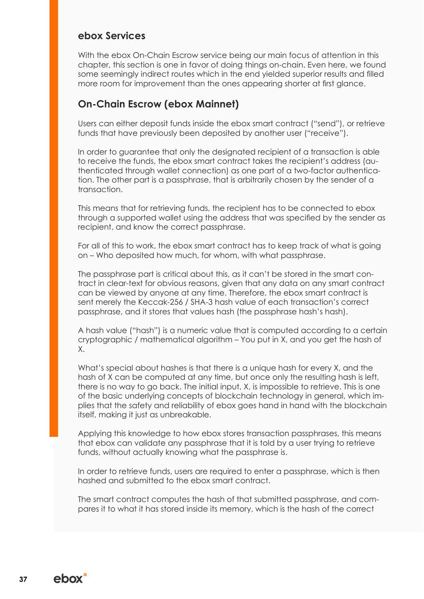### **ebox Services**

With the ebox On-Chain Escrow service being our main focus of attention in this chapter, this section is one in favor of doing things on-chain. Even here, we found some seemingly indirect routes which in the end yielded superior results and filled more room for improvement than the ones appearing shorter at first glance.

## **On-Chain Escrow (ebox Mainnet)**

Users can either deposit funds inside the ebox smart contract ("send"), or retrieve funds that have previously been deposited by another user ("receive").

In order to guarantee that only the designated recipient of a transaction is able to receive the funds, the ebox smart contract takes the recipient's address (authenticated through wallet connection) as one part of a two-factor authentication. The other part is a passphrase, that is arbitrarily chosen by the sender of a transaction.

This means that for retrieving funds, the recipient has to be connected to ebox through a supported wallet using the address that was specified by the sender as recipient, and know the correct passphrase.

For all of this to work, the ebox smart contract has to keep track of what is going on – Who deposited how much, for whom, with what passphrase.

The passphrase part is critical about this, as it can't be stored in the smart contract in clear-text for obvious reasons, given that any data on any smart contract can be viewed by anyone at any time. Therefore, the ebox smart contract is sent merely the Keccak-256 / SHA-3 hash value of each transaction's correct passphrase, and it stores that values hash (the passphrase hash's hash).

A hash value ("hash") is a numeric value that is computed according to a certain cryptographic / mathematical algorithm – You put in X, and you get the hash of X.

What's special about hashes is that there is a unique hash for every X, and the hash of X can be computed at any time, but once only the resulting hash is left, there is no way to go back. The initial input, X, is impossible to retrieve. This is one of the basic underlying concepts of blockchain technology in general, which implies that the safety and reliability of ebox goes hand in hand with the blockchain itself, making it just as unbreakable.

Applying this knowledge to how ebox stores transaction passphrases, this means that ebox can validate any passphrase that it is told by a user trying to retrieve funds, without actually knowing what the passphrase is.

In order to retrieve funds, users are required to enter a passphrase, which is then hashed and submitted to the ebox smart contract.

The smart contract computes the hash of that submitted passphrase, and compares it to what it has stored inside its memory, which is the hash of the correct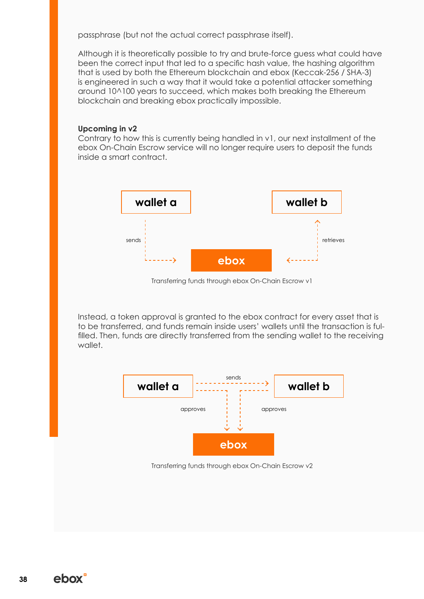passphrase (but not the actual correct passphrase itself).

Although it is theoretically possible to try and brute-force guess what could have been the correct input that led to a specific hash value, the hashing algorithm that is used by both the Ethereum blockchain and ebox (Keccak-256 / SHA-3) is engineered in such a way that it would take a potential attacker something around 10^100 years to succeed, which makes both breaking the Ethereum blockchain and breaking ebox practically impossible.

#### **Upcoming in v2**

Contrary to how this is currently being handled in v1, our next installment of the ebox On-Chain Escrow service will no longer require users to deposit the funds inside a smart contract.



Transferring funds through ebox On-Chain Escrow v1

Instead, a token approval is granted to the ebox contract for every asset that is to be transferred, and funds remain inside users' wallets until the transaction is fulfilled. Then, funds are directly transferred from the sending wallet to the receiving wallet.



Transferring funds through ebox On-Chain Escrow v2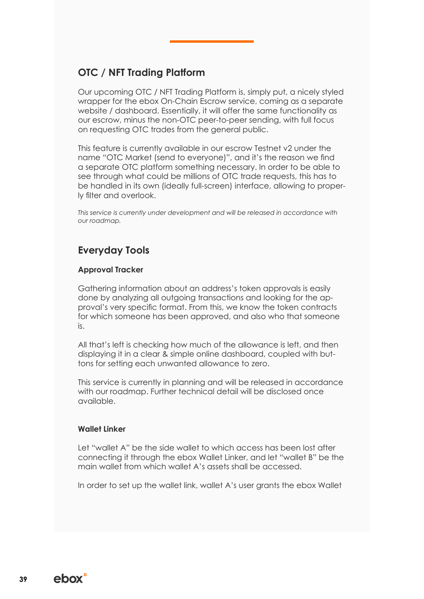# **OTC / NFT Trading Platform**

Our upcoming OTC / NFT Trading Platform is, simply put, a nicely styled wrapper for the ebox On-Chain Escrow service, coming as a separate website / dashboard. Essentially, it will offer the same functionality as our escrow, minus the non-OTC peer-to-peer sending, with full focus on requesting OTC trades from the general public.

This feature is currently available in our escrow Testnet v2 under the name "OTC Market (send to everyone)", and it's the reason we find a separate OTC platform something necessary. In order to be able to see through what could be millions of OTC trade requests, this has to be handled in its own (ideally full-screen) interface, allowing to properly filter and overlook.

*This service is currently under development and will be released in accordance with our roadmap.*

# **Everyday Tools**

#### **Approval Tracker**

Gathering information about an address's token approvals is easily done by analyzing all outgoing transactions and looking for the approval's very specific format. From this, we know the token contracts for which someone has been approved, and also who that someone is.

All that's left is checking how much of the allowance is left, and then displaying it in a clear & simple online dashboard, coupled with buttons for setting each unwanted allowance to zero.

This service is currently in planning and will be released in accordance with our roadmap. Further technical detail will be disclosed once available.

#### **Wallet Linker**

Let "wallet A" be the side wallet to which access has been lost after connecting it through the ebox Wallet Linker, and let "wallet B" be the main wallet from which wallet A's assets shall be accessed.

In order to set up the wallet link, wallet A's user grants the ebox Wallet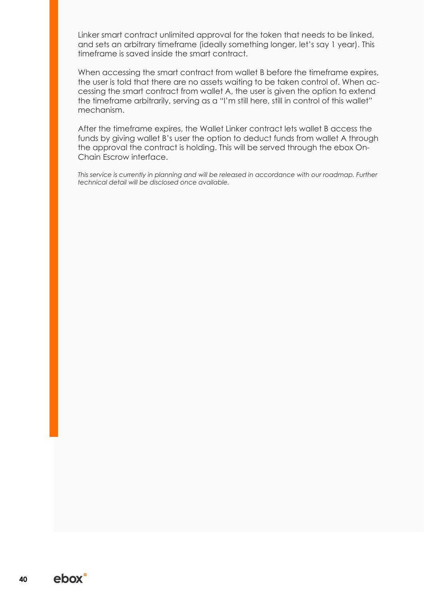Linker smart contract unlimited approval for the token that needs to be linked, and sets an arbitrary timeframe (ideally something longer, let's say 1 year). This timeframe is saved inside the smart contract.

When accessing the smart contract from wallet B before the timeframe expires, the user is told that there are no assets waiting to be taken control of. When accessing the smart contract from wallet A, the user is given the option to extend the timeframe arbitrarily, serving as a "I'm still here, still in control of this wallet" mechanism.

After the timeframe expires, the Wallet Linker contract lets wallet B access the funds by giving wallet B's user the option to deduct funds from wallet A through the approval the contract is holding. This will be served through the ebox On-Chain Escrow interface.

*This service is currently in planning and will be released in accordance with our roadmap. Further technical detail will be disclosed once available.*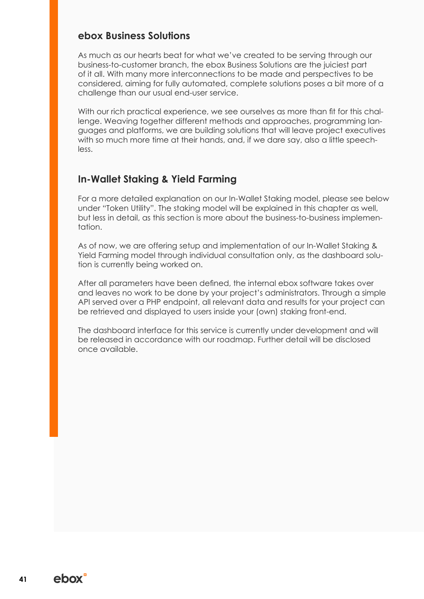## **ebox Business Solutions**

As much as our hearts beat for what we've created to be serving through our business-to-customer branch, the ebox Business Solutions are the juiciest part of it all. With many more interconnections to be made and perspectives to be considered, aiming for fully automated, complete solutions poses a bit more of a challenge than our usual end-user service.

With our rich practical experience, we see ourselves as more than fit for this challenge. Weaving together different methods and approaches, programming languages and platforms, we are building solutions that will leave project executives with so much more time at their hands, and, if we dare say, also a little speechless.

# **In-Wallet Staking & Yield Farming**

For a more detailed explanation on our In-Wallet Staking model, please see below under "Token Utility". The staking model will be explained in this chapter as well, but less in detail, as this section is more about the business-to-business implementation.

As of now, we are offering setup and implementation of our In-Wallet Staking & Yield Farming model through individual consultation only, as the dashboard solution is currently being worked on.

After all parameters have been defined, the internal ebox software takes over and leaves no work to be done by your project's administrators. Through a simple API served over a PHP endpoint, all relevant data and results for your project can be retrieved and displayed to users inside your (own) staking front-end.

The dashboard interface for this service is currently under development and will be released in accordance with our roadmap. Further detail will be disclosed once available.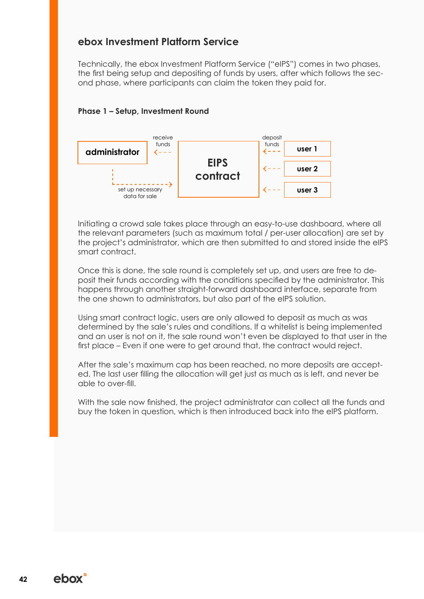# **ebox Investment Platform Service**

Technically, the ebox Investment Platform Service ("eIPS") comes in two phases, the first being setup and depositing of funds by users, after which follows the second phase, where participants can claim the token they paid for.

#### **Phase 1 – Setup, Investment Round**



Initiating a crowd sale takes place through an easy-to-use dashboard, where all the relevant parameters (such as maximum total / per-user allocation) are set by the project's administrator, which are then submitted to and stored inside the eIPS smart contract.

Once this is done, the sale round is completely set up, and users are free to deposit their funds according with the conditions specified by the administrator. This happens through another straight-forward dashboard interface, separate from the one shown to administrators, but also part of the eIPS solution.

Using smart contract logic, users are only allowed to deposit as much as was determined by the sale's rules and conditions. If a whitelist is being implemented and an user is not on it, the sale round won't even be displayed to that user in the first place – Even if one were to get around that, the contract would reject.

After the sale's maximum cap has been reached, no more deposits are accepted. The last user filling the allocation will get just as much as is left, and never be able to over-fill.

With the sale now finished, the project administrator can collect all the funds and buy the token in question, which is then introduced back into the eIPS platform.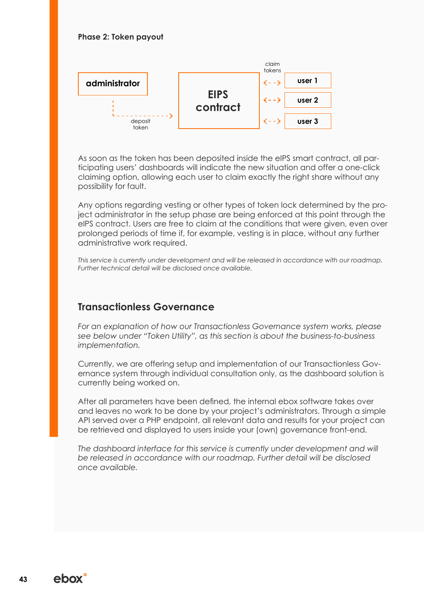#### **Phase 2: Token payout**



As soon as the token has been deposited inside the eIPS smart contract, all participating users' dashboards will indicate the new situation and offer a one-click claiming option, allowing each user to claim exactly the right share without any possibility for fault.

Any options regarding vesting or other types of token lock determined by the project administrator in the setup phase are being enforced at this point through the eIPS contract. Users are free to claim at the conditions that were given, even over prolonged periods of time if, for example, vesting is in place, without any further administrative work required.

*This service is currently under development and will be released in accordance with our roadmap. Further technical detail will be disclosed once available.*

### **Transactionless Governance**

*For an explanation of how our Transactionless Governance system works, please see below under "Token Utility", as this section is about the business-to-business implementation.*

Currently, we are offering setup and implementation of our Transactionless Governance system through individual consultation only, as the dashboard solution is currently being worked on.

After all parameters have been defined, the internal ebox software takes over and leaves no work to be done by your project's administrators. Through a simple API served over a PHP endpoint, all relevant data and results for your project can be retrieved and displayed to users inside your (own) governance front-end.

The dashboard interface for this service is currently under development and will *be released in accordance with our roadmap. Further detail will be disclosed once available.*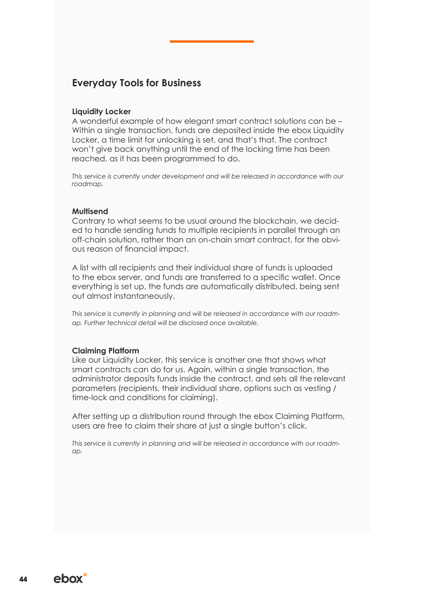## **Everyday Tools for Business**

#### **Liquidity Locker**

A wonderful example of how elegant smart contract solutions can be – Within a single transaction, funds are deposited inside the ebox Liquidity Locker, a time limit for unlocking is set, and that's that. The contract won't give back anything until the end of the locking time has been reached, as it has been programmed to do.

This service is currently under development and will be released in accordance with our *roadmap.*

#### **Multisend**

Contrary to what seems to be usual around the blockchain, we decided to handle sending funds to multiple recipients in parallel through an off-chain solution, rather than an on-chain smart contract, for the obvious reason of financial impact.

A list with all recipients and their individual share of funds is uploaded to the ebox server, and funds are transferred to a specific wallet. Once everything is set up, the funds are automatically distributed, being sent out almost instantaneously.

*This service is currently in planning and will be released in accordance with our roadmap. Further technical detail will be disclosed once available.*

#### **Claiming Platform**

Like our Liquidity Locker, this service is another one that shows what smart contracts can do for us. Again, within a single transaction, the administrator deposits funds inside the contract, and sets all the relevant parameters (recipients, their individual share, options such as vesting / time-lock and conditions for claiming).

After setting up a distribution round through the ebox Claiming Platform, users are free to claim their share at just a single button's click.

*This service is currently in planning and will be released in accordance with our roadmap.*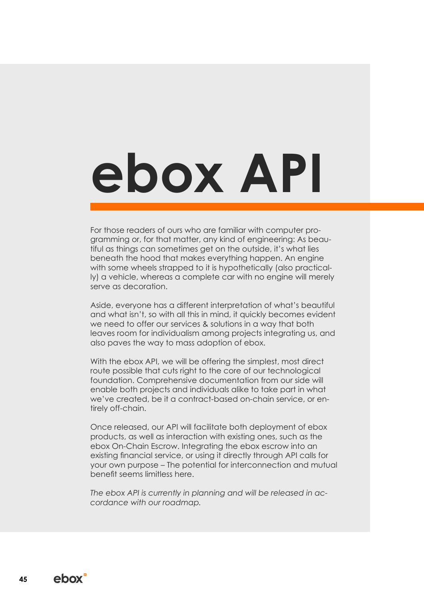# **ebox API**

For those readers of ours who are familiar with computer programming or, for that matter, any kind of engineering: As beautiful as things can sometimes get on the outside, it's what lies beneath the hood that makes everything happen. An engine with some wheels strapped to it is hypothetically (also practically) a vehicle, whereas a complete car with no engine will merely serve as decoration.

Aside, everyone has a different interpretation of what's beautiful and what isn't, so with all this in mind, it quickly becomes evident we need to offer our services & solutions in a way that both leaves room for individualism among projects integrating us, and also paves the way to mass adoption of ebox.

With the ebox API, we will be offering the simplest, most direct route possible that cuts right to the core of our technological foundation. Comprehensive documentation from our side will enable both projects and individuals alike to take part in what we've created, be it a contract-based on-chain service, or entirely off-chain.

Once released, our API will facilitate both deployment of ebox products, as well as interaction with existing ones, such as the ebox On-Chain Escrow. Integrating the ebox escrow into an existing financial service, or using it directly through API calls for your own purpose – The potential for interconnection and mutual benefit seems limitless here.

*The ebox API is currently in planning and will be released in accordance with our roadmap.*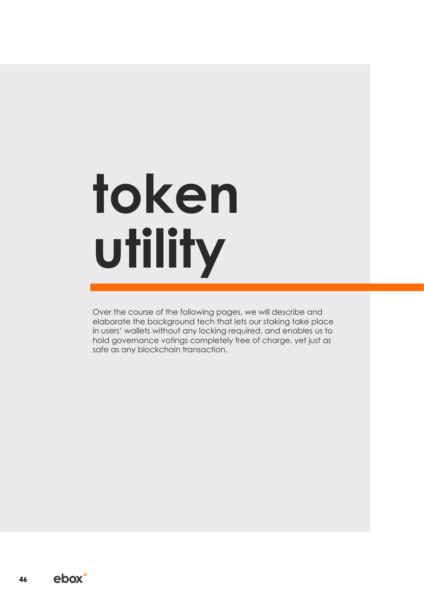# **token utility**

Over the course of the following pages, we will describe and elaborate the background tech that lets our staking take place in users' wallets without any locking required, and enables us to hold governance votings completely free of charge, yet just as safe as any blockchain transaction.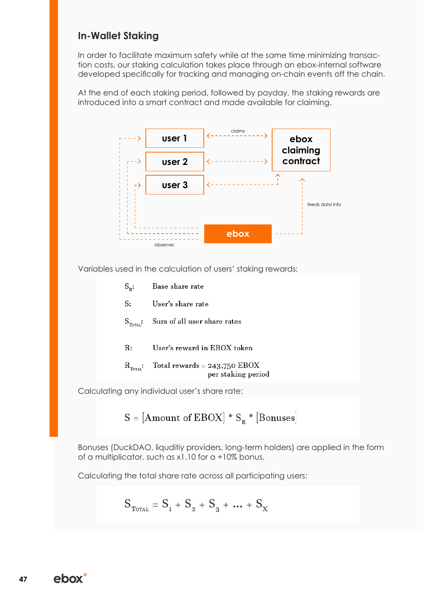# **In-Wallet Staking**

In order to facilitate maximum safety while at the same time minimizing transaction costs, our staking calculation takes place through an ebox-internal software developed specifically for tracking and managing on-chain events off the chain.

At the end of each staking period, followed by payday, the staking rewards are introduced into a smart contract and made available for claiming.



Variables used in the calculation of users' staking rewards:

| $S_{R}$ :                 | Base share rate                                      |
|---------------------------|------------------------------------------------------|
| S:                        | User's share rate                                    |
| $S_{\tau_{\text{OTAL}}}:$ | Sum of all user share rates                          |
| R:                        | User's reward in EBOX token                          |
| $\rm R_{_{Totat}}$        | Total rewards = $243,750$ EBOX<br>per staking period |

Calculating any individual user's share rate:

$$
S = [Amount of EBOX] * S_B * [Bonuses]
$$

Bonuses (DuckDAO, liquditiy providers, long-term holders) are applied in the form of a multiplicator, such as x1.10 for a +10% bonus.

Calculating the total share rate across all participating users:

$$
S_{\text{Total}} = S_1 + S_2 + S_3 + \dots + S_{X}
$$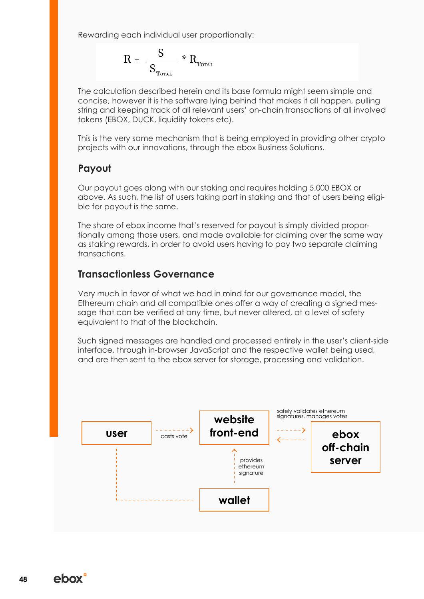Rewarding each individual user proportionally:

$$
R = \frac{S}{S_{\text{Total}}} * R_{\text{Total}}
$$

The calculation described herein and its base formula might seem simple and concise, however it is the software lying behind that makes it all happen, pulling string and keeping track of all relevant users' on-chain transactions of all involved tokens (EBOX, DUCK, liquidity tokens etc).

This is the very same mechanism that is being employed in providing other crypto projects with our innovations, through the ebox Business Solutions.

# **Payout**

Our payout goes along with our staking and requires holding 5.000 EBOX or above. As such, the list of users taking part in staking and that of users being eligible for payout is the same.

The share of ebox income that's reserved for payout is simply divided proportionally among those users, and made available for claiming over the same way as staking rewards, in order to avoid users having to pay two separate claiming transactions.

# **Transactionless Governance**

Very much in favor of what we had in mind for our governance model, the Ethereum chain and all compatible ones offer a way of creating a signed message that can be verified at any time, but never altered, at a level of safety equivalent to that of the blockchain.

Such signed messages are handled and processed entirely in the user's client-side interface, through in-browser JavaScript and the respective wallet being used, and are then sent to the ebox server for storage, processing and validation.

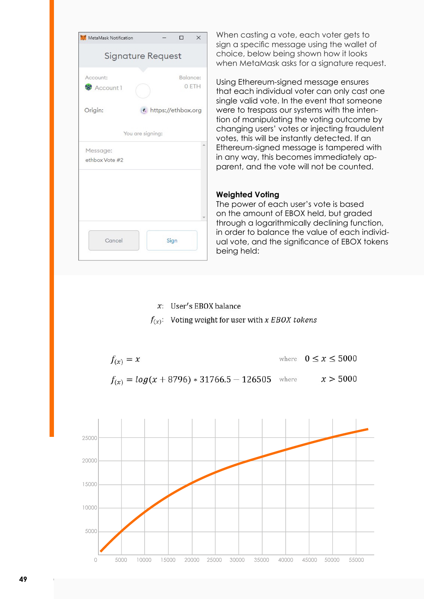| MetaMask Notification      |                  |                    | п | $\times$          |
|----------------------------|------------------|--------------------|---|-------------------|
| <b>Signature Request</b>   |                  |                    |   |                   |
| Account:<br>Account 1      |                  |                    |   | Balance:<br>0 ETH |
| Origin:                    |                  | https://ethbox.org |   |                   |
|                            | You are signing: |                    |   |                   |
|                            |                  |                    |   |                   |
| Message:<br>ethbox Vote #2 |                  |                    |   |                   |

When casting a vote, each voter gets to sign a specific message using the wallet of choice, below being shown how it looks when MetaMask asks for a signature request.

Using Ethereum-signed message ensures that each individual voter can only cast one single valid vote. In the event that someone were to trespass our systems with the intention of manipulating the voting outcome by changing users' votes or injecting fraudulent votes, this will be instantly detected. If an Ethereum-signed message is tampered with in any way, this becomes immediately apparent, and the vote will not be counted.

#### **Weighted Voting**

The power of each user's vote is based on the amount of EBOX held, but graded through a logarithmically declining function, in order to balance the value of each individual vote, and the significance of EBOX tokens being held:

 $x$ : User's EBOX balance

 $f(x)$ : Voting weight for user with x EBOX tokens



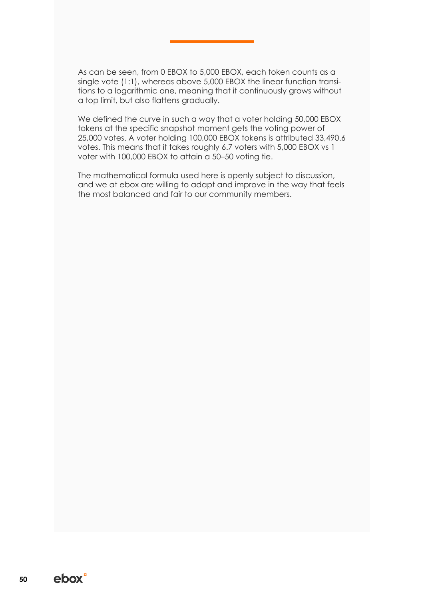As can be seen, from 0 EBOX to 5,000 EBOX, each token counts as a single vote (1:1), whereas above 5,000 EBOX the linear function transitions to a logarithmic one, meaning that it continuously grows without a top limit, but also flattens gradually.

We defined the curve in such a way that a voter holding 50,000 EBOX tokens at the specific snapshot moment gets the voting power of 25,000 votes. A voter holding 100,000 EBOX tokens is attributed 33,490.6 votes. This means that it takes roughly 6.7 voters with 5,000 EBOX vs 1 voter with 100,000 EBOX to attain a 50–50 voting tie.

The mathematical formula used here is openly subject to discussion, and we at ebox are willing to adapt and improve in the way that feels the most balanced and fair to our community members.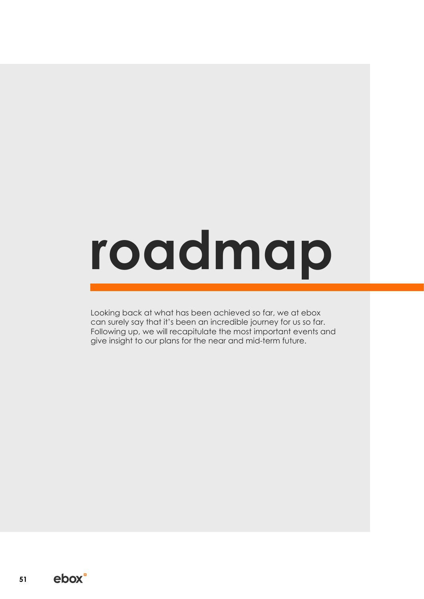# **roadmap**

Looking back at what has been achieved so far, we at ebox can surely say that it's been an incredible journey for us so far. Following up, we will recapitulate the most important events and give insight to our plans for the near and mid-term future.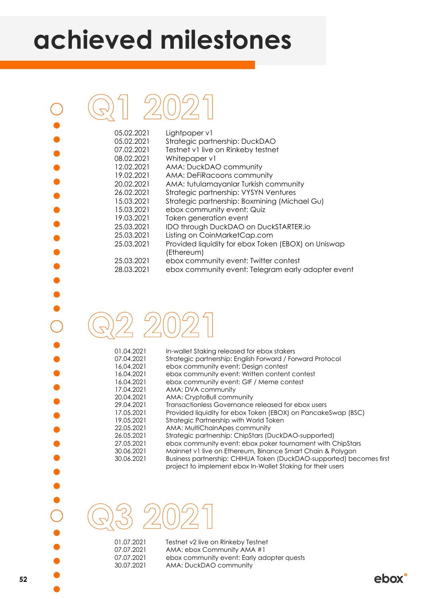# **achieved milestones**

| 05.02.2021 | Lightpaper v1                                                     |
|------------|-------------------------------------------------------------------|
| 05.02.2021 | Strategic partnership: DuckDAO                                    |
| 07.02.2021 | Testnet v1 live on Rinkeby testnet                                |
| 08.02.2021 | Whitepaper v1                                                     |
| 12.02.2021 | AMA: DuckDAO community                                            |
| 19.02.2021 | AMA: DeFiRacoons community                                        |
| 20.02.2021 | AMA: tutulamayanlar Turkish community                             |
| 26.02.2021 | Strategic partnership: VYSYN Ventures                             |
| 15.03.2021 | Strategic partnership: Boxmining (Michael Gu)                     |
| 15.03.2021 | ebox community event: Quiz                                        |
| 19.03.2021 | Token generation event                                            |
| 25.03.2021 | IDO through DuckDAO on DuckSTARTER.io                             |
| 25.03.2021 | Listing on CoinMarketCap.com                                      |
| 25.03.2021 | Provided liquidity for ebox Token (EBOX) on Uniswap<br>(Ethereum) |
| 25.03.2021 | ebox community event: Twitter contest                             |
| 28.03.2021 | ebox community event: Telegram early adopter event                |
|            |                                                                   |

| 01.04.2021 | In-wallet Staking released for ebox stakers                                                                                         |
|------------|-------------------------------------------------------------------------------------------------------------------------------------|
| 07.04.2021 | Strategic partnership: English Forward / Forward Protocol                                                                           |
| 16.04.2021 | ebox community event: Design contest                                                                                                |
| 16.04.2021 | ebox community event: Written content contest                                                                                       |
| 16.04.2021 | ebox community event: GIF / Meme contest                                                                                            |
| 17.04.2021 | AMA: DVA community                                                                                                                  |
| 20.04.2021 | AMA: CryptoBull community                                                                                                           |
| 29.04.2021 | Transactionless Governance released for ebox users                                                                                  |
| 17.05.2021 | Provided liquidity for ebox Token (EBOX) on PancakeSwap (BSC)                                                                       |
| 19.05.2021 | Strategic Partnership with World Token                                                                                              |
| 22.05.2021 | AMA: MultiChainApes community                                                                                                       |
| 26.05.2021 | Strategic partnership: ChipStars (DuckDAO-supported)                                                                                |
| 27.05.2021 | ebox community event: ebox poker tournament with ChipStars                                                                          |
| 30.06.2021 | Mainnet v1 live on Ethereum, Binance Smart Chain & Polygon                                                                          |
| 30.06.2021 | Business partnership: CHIHUA Token (DuckDAO-supported) becomes first<br>project to implement ebox In-Wallet Staking for their users |

**Q3 2021**

01.07.2021 Testnet v2 live on Rinkeby Testnet<br>07.07.2021 AMA: ebox Community AMA #1 07.07.2021 AMA: ebox Community AMA #1<br>07.07.2021 ebox community event: Early ad 07.07.2021 ebox community event: Early adopter quests<br>30.07.2021 AMA: DuckDAO community AMA: DuckDAO community

 $\bigcap$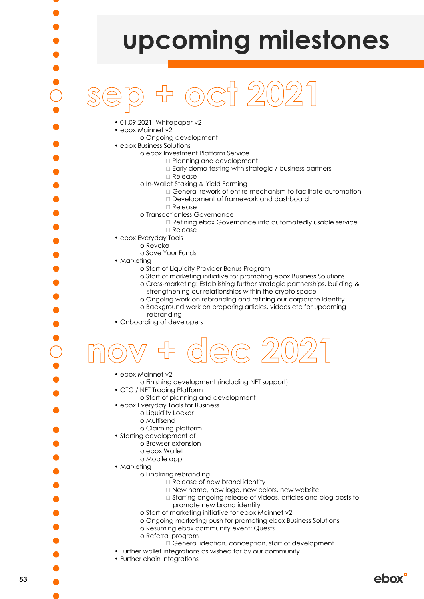

ebox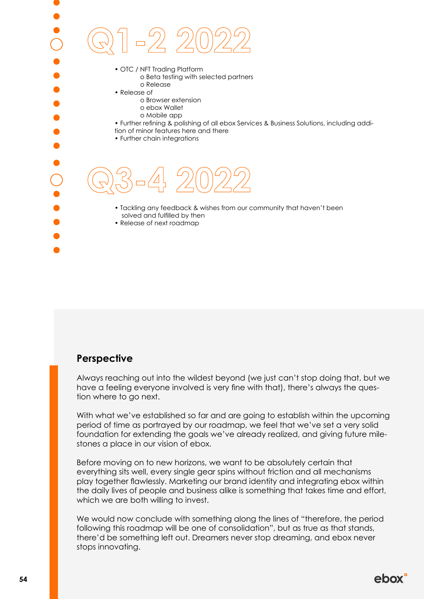**Q3-4 2022** • OTC / NFT Trading Platform o Beta testing with selected partners o Release • Release of o Browser extension o ebox Wallet o Mobile app • Further refining & polishing of all ebox Services & Business Solutions, including addition of minor features here and there • Further chain integrations **Q1-2 2022** • Tackling any feedback & wishes from our community that haven't been solved and fulfilled by then • Release of next roadmap

# **Perspective**

Always reaching out into the wildest beyond (we just can't stop doing that, but we have a feeling everyone involved is very fine with that), there's always the question where to go next.

With what we've established so far and are going to establish within the upcoming period of time as portrayed by our roadmap, we feel that we've set a very solid foundation for extending the goals we've already realized, and giving future milestones a place in our vision of ebox.

Before moving on to new horizons, we want to be absolutely certain that everything sits well, every single gear spins without friction and all mechanisms play together flawlessly. Marketing our brand identity and integrating ebox within the daily lives of people and business alike is something that takes time and effort, which we are both willing to invest.

We would now conclude with something along the lines of "therefore, the period following this roadmap will be one of consolidation", but as true as that stands, there'd be something left out. Dreamers never stop dreaming, and ebox never stops innovating.

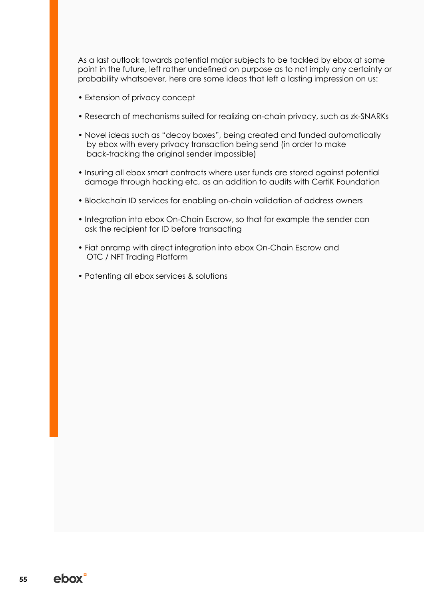As a last outlook towards potential major subjects to be tackled by ebox at some point in the future, left rather undefined on purpose as to not imply any certainty or probability whatsoever, here are some ideas that left a lasting impression on us:

- Extension of privacy concept
- Research of mechanisms suited for realizing on-chain privacy, such as zk-SNARKs
- Novel ideas such as "decoy boxes", being created and funded automatically by ebox with every privacy transaction being send (in order to make back-tracking the original sender impossible)
- Insuring all ebox smart contracts where user funds are stored against potential damage through hacking etc, as an addition to audits with CertiK Foundation
- Blockchain ID services for enabling on-chain validation of address owners
- Integration into ebox On-Chain Escrow, so that for example the sender can ask the recipient for ID before transacting
- Fiat onramp with direct integration into ebox On-Chain Escrow and OTC / NFT Trading Platform
- Patenting all ebox services & solutions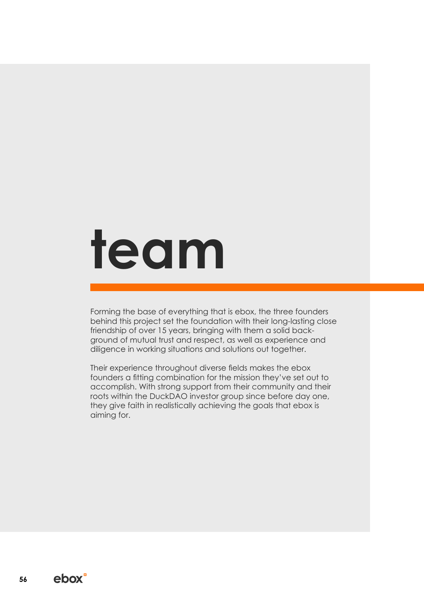# **team**

Forming the base of everything that is ebox, the three founders behind this project set the foundation with their long-lasting close friendship of over 15 years, bringing with them a solid background of mutual trust and respect, as well as experience and diligence in working situations and solutions out together.

Their experience throughout diverse fields makes the ebox founders a fitting combination for the mission they've set out to accomplish. With strong support from their community and their roots within the DuckDAO investor group since before day one, they give faith in realistically achieving the goals that ebox is aiming for.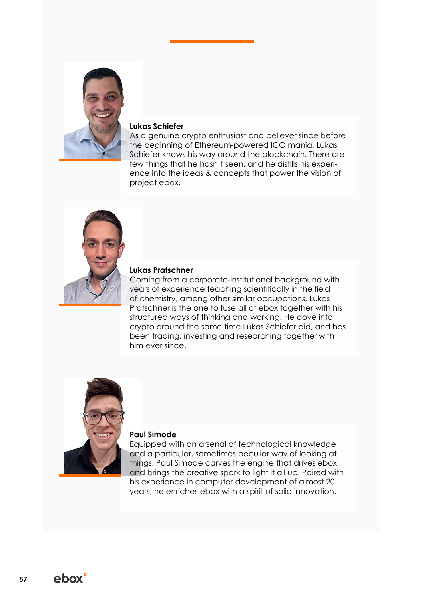

#### **Lukas Schiefer**

As a genuine crypto enthusiast and believer since before the beginning of Ethereum-powered ICO mania, Lukas Schiefer knows his way around the blockchain. There are few things that he hasn't seen, and he distills his experience into the ideas & concepts that power the vision of project ebox.



#### **Lukas Pratschner**

Coming from a corporate-institutional background with years of experience teaching scientifically in the field of chemistry, among other similar occupations, Lukas Pratschner is the one to fuse all of ebox together with his structured ways of thinking and working. He dove into crypto around the same time Lukas Schiefer did, and has been trading, investing and researching together with him ever since.



#### **Paul Simode**

Equipped with an arsenal of technological knowledge and a particular, sometimes peculiar way of looking at things, Paul Simode carves the engine that drives ebox, and brings the creative spark to light it all up. Paired with his experience in computer development of almost 20 years, he enriches ebox with a spirit of solid innovation.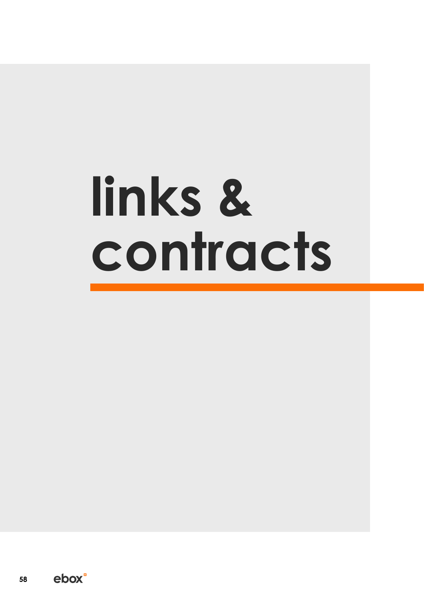# **links & contracts**